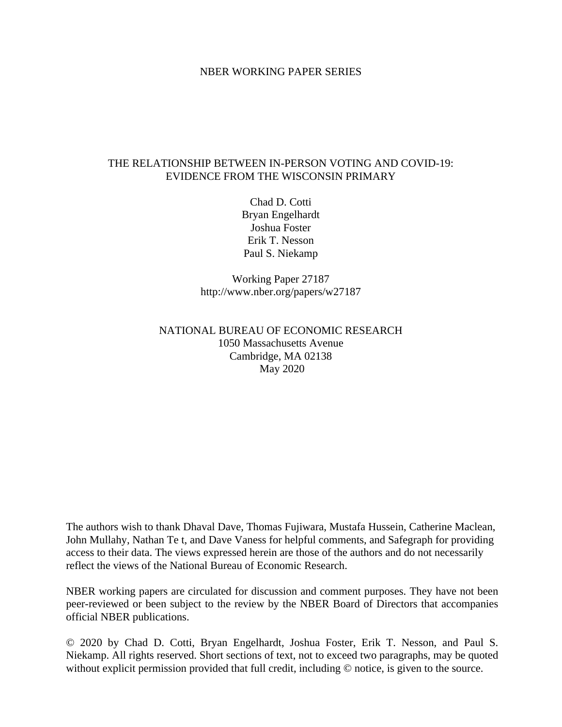### NBER WORKING PAPER SERIES

### THE RELATIONSHIP BETWEEN IN-PERSON VOTING AND COVID-19: EVIDENCE FROM THE WISCONSIN PRIMARY

Chad D. Cotti Bryan Engelhardt Joshua Foster Erik T. Nesson Paul S. Niekamp

Working Paper 27187 http://www.nber.org/papers/w27187

# NATIONAL BUREAU OF ECONOMIC RESEARCH 1050 Massachusetts Avenue Cambridge, MA 02138 May 2020

The authors wish to thank Dhaval Dave, Thomas Fujiwara, Mustafa Hussein, Catherine Maclean, John Mullahy, Nathan Te t, and Dave Vaness for helpful comments, and Safegraph for providing access to their data. The views expressed herein are those of the authors and do not necessarily reflect the views of the National Bureau of Economic Research.

NBER working papers are circulated for discussion and comment purposes. They have not been peer-reviewed or been subject to the review by the NBER Board of Directors that accompanies official NBER publications.

© 2020 by Chad D. Cotti, Bryan Engelhardt, Joshua Foster, Erik T. Nesson, and Paul S. Niekamp. All rights reserved. Short sections of text, not to exceed two paragraphs, may be quoted without explicit permission provided that full credit, including  $\odot$  notice, is given to the source.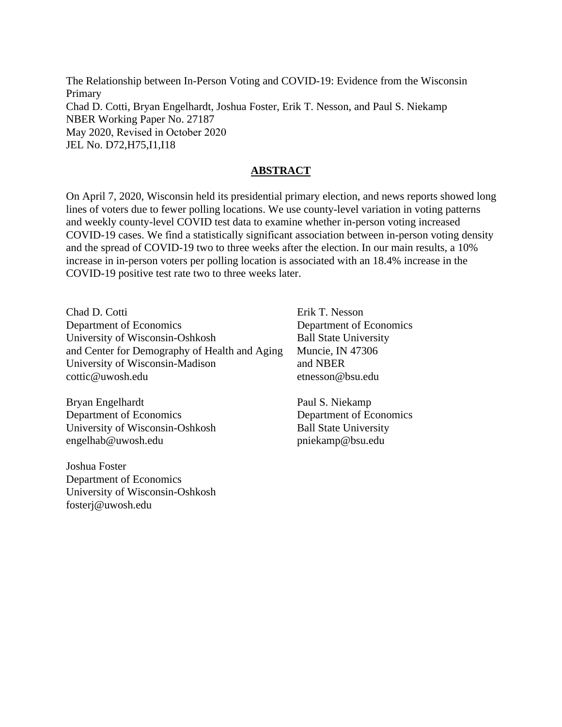The Relationship between In-Person Voting and COVID-19: Evidence from the Wisconsin Primary Chad D. Cotti, Bryan Engelhardt, Joshua Foster, Erik T. Nesson, and Paul S. Niekamp NBER Working Paper No. 27187 May 2020, Revised in October 2020 JEL No. D72,H75,I1,I18

# **ABSTRACT**

On April 7, 2020, Wisconsin held its presidential primary election, and news reports showed long lines of voters due to fewer polling locations. We use county-level variation in voting patterns and weekly county-level COVID test data to examine whether in-person voting increased COVID-19 cases. We find a statistically significant association between in-person voting density and the spread of COVID-19 two to three weeks after the election. In our main results, a 10% increase in in-person voters per polling location is associated with an 18.4% increase in the COVID-19 positive test rate two to three weeks later.

Chad D. Cotti Department of Economics University of Wisconsin-Oshkosh and Center for Demography of Health and Aging University of Wisconsin-Madison cottic@uwosh.edu

Bryan Engelhardt Department of Economics University of Wisconsin-Oshkosh engelhab@uwosh.edu

Joshua Foster Department of Economics University of Wisconsin-Oshkosh fosterj@uwosh.edu

Erik T. Nesson Department of Economics Ball State University Muncie, IN 47306 and NBER etnesson@bsu.edu

Paul S. Niekamp Department of Economics Ball State University pniekamp@bsu.edu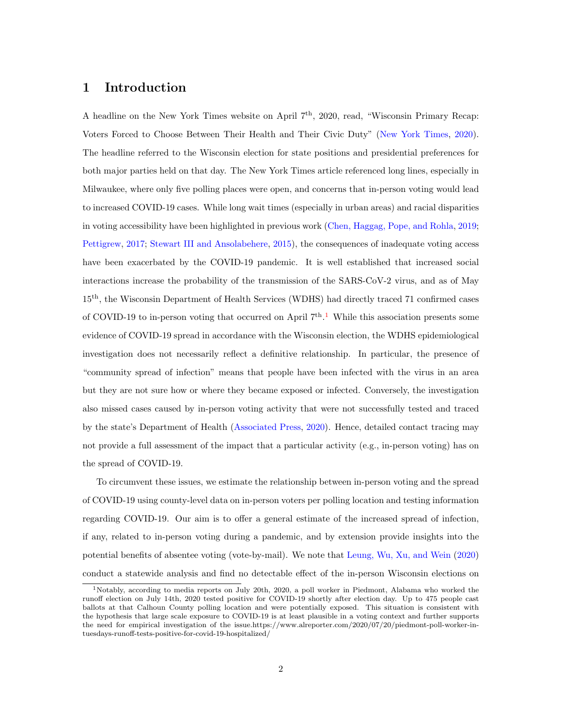# 1 Introduction

A headline on the New York Times website on April 7<sup>th</sup>, 2020, read, "Wisconsin Primary Recap: Voters Forced to Choose Between Their Health and Their Civic Duty" [\(New York Times,](#page-20-0) [2020\)](#page-20-0). The headline referred to the Wisconsin election for state positions and presidential preferences for both major parties held on that day. The New York Times article referenced long lines, especially in Milwaukee, where only five polling places were open, and concerns that in-person voting would lead to increased COVID-19 cases. While long wait times (especially in urban areas) and racial disparities in voting accessibility have been highlighted in previous work [\(Chen, Haggag, Pope, and Rohla,](#page-18-0) [2019;](#page-18-0) [Pettigrew,](#page-20-1) [2017;](#page-20-1) [Stewart III and Ansolabehere,](#page-20-2) [2015\)](#page-20-2), the consequences of inadequate voting access have been exacerbated by the COVID-19 pandemic. It is well established that increased social interactions increase the probability of the transmission of the SARS-CoV-2 virus, and as of May 15th, the Wisconsin Department of Health Services (WDHS) had directly traced 71 confirmed cases of COVID-[1](#page-2-0)9 to in-person voting that occurred on April 7<sup>th</sup>.<sup>1</sup> While this association presents some evidence of COVID-19 spread in accordance with the Wisconsin election, the WDHS epidemiological investigation does not necessarily reflect a definitive relationship. In particular, the presence of "community spread of infection" means that people have been infected with the virus in an area but they are not sure how or where they became exposed or infected. Conversely, the investigation also missed cases caused by in-person voting activity that were not successfully tested and traced by the state's Department of Health [\(Associated Press,](#page-18-1) [2020\)](#page-18-1). Hence, detailed contact tracing may not provide a full assessment of the impact that a particular activity (e.g., in-person voting) has on the spread of COVID-19.

To circumvent these issues, we estimate the relationship between in-person voting and the spread of COVID-19 using county-level data on in-person voters per polling location and testing information regarding COVID-19. Our aim is to offer a general estimate of the increased spread of infection, if any, related to in-person voting during a pandemic, and by extension provide insights into the potential benefits of absentee voting (vote-by-mail). We note that [Leung, Wu, Xu, and Wein](#page-20-3) [\(2020\)](#page-20-3) conduct a statewide analysis and find no detectable effect of the in-person Wisconsin elections on

<span id="page-2-0"></span><sup>&</sup>lt;sup>1</sup>Notably, according to media reports on July 20th, 2020, a poll worker in Piedmont, Alabama who worked the runoff election on July 14th, 2020 tested positive for COVID-19 shortly after election day. Up to 475 people cast ballots at that Calhoun County polling location and were potentially exposed. This situation is consistent with the hypothesis that large scale exposure to COVID-19 is at least plausible in a voting context and further supports the need for empirical investigation of the issue.https://www.alreporter.com/2020/07/20/piedmont-poll-worker-intuesdays-runoff-tests-positive-for-covid-19-hospitalized/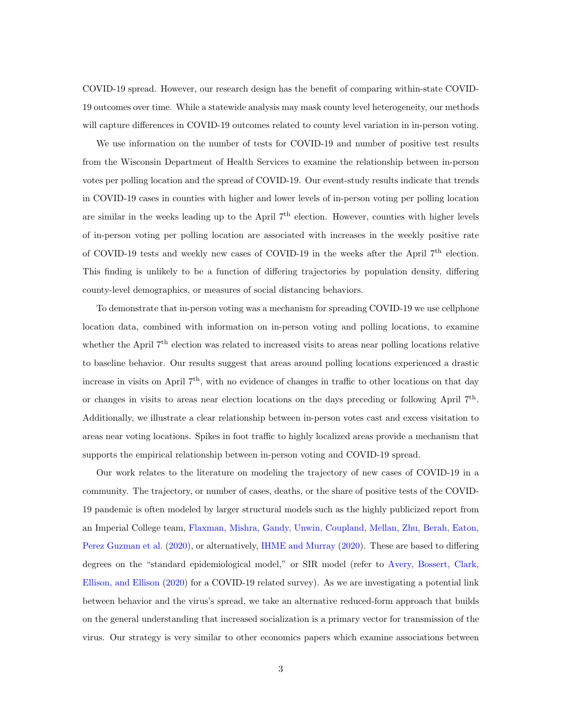COVID-19 spread. However, our research design has the benefit of comparing within-state COVID-19 outcomes over time. While a statewide analysis may mask county level heterogeneity, our methods will capture differences in COVID-19 outcomes related to county level variation in in-person voting.

We use information on the number of tests for COVID-19 and number of positive test results from the Wisconsin Department of Health Services to examine the relationship between in-person votes per polling location and the spread of COVID-19. Our event-study results indicate that trends in COVID-19 cases in counties with higher and lower levels of in-person voting per polling location are similar in the weeks leading up to the April  $7<sup>th</sup>$  election. However, counties with higher levels of in-person voting per polling location are associated with increases in the weekly positive rate of COVID-19 tests and weekly new cases of COVID-19 in the weeks after the April  $7<sup>th</sup>$  election. This finding is unlikely to be a function of differing trajectories by population density, differing county-level demographics, or measures of social distancing behaviors.

To demonstrate that in-person voting was a mechanism for spreading COVID-19 we use cellphone location data, combined with information on in-person voting and polling locations, to examine whether the April  $7<sup>th</sup>$  election was related to increased visits to areas near polling locations relative to baseline behavior. Our results suggest that areas around polling locations experienced a drastic increase in visits on April  $7<sup>th</sup>$ , with no evidence of changes in traffic to other locations on that day or changes in visits to areas near election locations on the days preceding or following April  $7<sup>th</sup>$ . Additionally, we illustrate a clear relationship between in-person votes cast and excess visitation to areas near voting locations. Spikes in foot traffic to highly localized areas provide a mechanism that supports the empirical relationship between in-person voting and COVID-19 spread.

Our work relates to the literature on modeling the trajectory of new cases of COVID-19 in a community. The trajectory, or number of cases, deaths, or the share of positive tests of the COVID-19 pandemic is often modeled by larger structural models such as the highly publicized report from an Imperial College team, [Flaxman, Mishra, Gandy, Unwin, Coupland, Mellan, Zhu, Berah, Eaton,](#page-19-0) [Perez Guzman et al.](#page-19-0) [\(2020\)](#page-19-0), or alternatively, [IHME and Murray](#page-19-1) [\(2020\)](#page-19-1). These are based to differing degrees on the "standard epidemiological model," or SIR model (refer to [Avery, Bossert, Clark,](#page-18-2) [Ellison, and Ellison](#page-18-2) [\(2020\)](#page-18-2) for a COVID-19 related survey). As we are investigating a potential link between behavior and the virus's spread, we take an alternative reduced-form approach that builds on the general understanding that increased socialization is a primary vector for transmission of the virus. Our strategy is very similar to other economics papers which examine associations between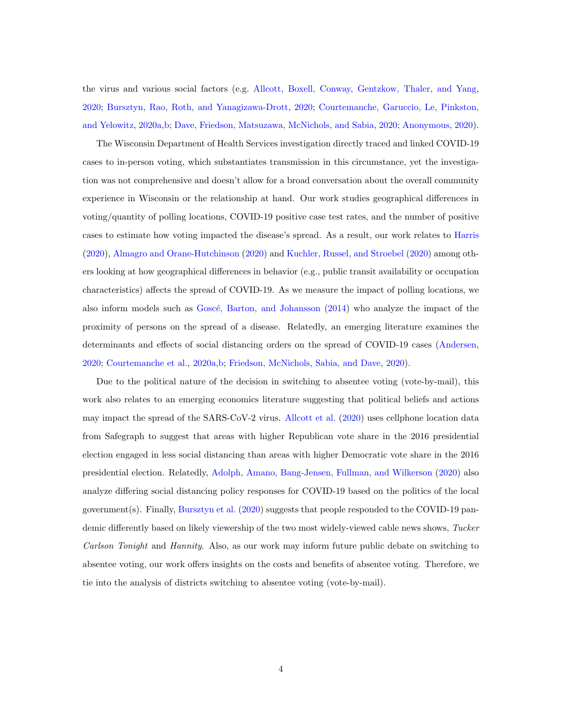the virus and various social factors (e.g. [Allcott, Boxell, Conway, Gentzkow, Thaler, and Yang,](#page-18-3) [2020;](#page-18-3) [Bursztyn, Rao, Roth, and Yanagizawa-Drott,](#page-18-4) [2020;](#page-18-4) [Courtemanche, Garuccio, Le, Pinkston,](#page-18-5) [and Yelowitz,](#page-18-5) [2020a](#page-18-5)[,b;](#page-19-2) [Dave, Friedson, Matsuzawa, McNichols, and Sabia,](#page-19-3) [2020;](#page-19-3) [Anonymous,](#page-18-6) [2020\)](#page-18-6).

The Wisconsin Department of Health Services investigation directly traced and linked COVID-19 cases to in-person voting, which substantiates transmission in this circumstance, yet the investigation was not comprehensive and doesn't allow for a broad conversation about the overall community experience in Wisconsin or the relationship at hand. Our work studies geographical differences in voting/quantity of polling locations, COVID-19 positive case test rates, and the number of positive cases to estimate how voting impacted the disease's spread. As a result, our work relates to [Harris](#page-19-4) [\(2020\)](#page-19-4), [Almagro and Orane-Hutchinson](#page-18-7) [\(2020\)](#page-18-7) and [Kuchler, Russel, and Stroebel](#page-19-5) [\(2020\)](#page-19-5) among others looking at how geographical differences in behavior (e.g., public transit availability or occupation characteristics) affects the spread of COVID-19. As we measure the impact of polling locations, we also inform models such as Goscé, Barton, and Johansson [\(2014\)](#page-19-6) who analyze the impact of the proximity of persons on the spread of a disease. Relatedly, an emerging literature examines the determinants and effects of social distancing orders on the spread of COVID-19 cases [\(Andersen,](#page-18-8) [2020;](#page-18-8) [Courtemanche et al.,](#page-18-5) [2020a](#page-18-5)[,b;](#page-19-2) [Friedson, McNichols, Sabia, and Dave,](#page-19-7) [2020\)](#page-19-7).

Due to the political nature of the decision in switching to absentee voting (vote-by-mail), this work also relates to an emerging economics literature suggesting that political beliefs and actions may impact the spread of the SARS-CoV-2 virus. [Allcott et al.](#page-18-3) [\(2020\)](#page-18-3) uses cellphone location data from Safegraph to suggest that areas with higher Republican vote share in the 2016 presidential election engaged in less social distancing than areas with higher Democratic vote share in the 2016 presidential election. Relatedly, [Adolph, Amano, Bang-Jensen, Fullman, and Wilkerson](#page-18-9) [\(2020\)](#page-18-9) also analyze differing social distancing policy responses for COVID-19 based on the politics of the local government(s). Finally, [Bursztyn et al.](#page-18-4) [\(2020\)](#page-18-4) suggests that people responded to the COVID-19 pandemic differently based on likely viewership of the two most widely-viewed cable news shows, Tucker Carlson Tonight and Hannity. Also, as our work may inform future public debate on switching to absentee voting, our work offers insights on the costs and benefits of absentee voting. Therefore, we tie into the analysis of districts switching to absentee voting (vote-by-mail).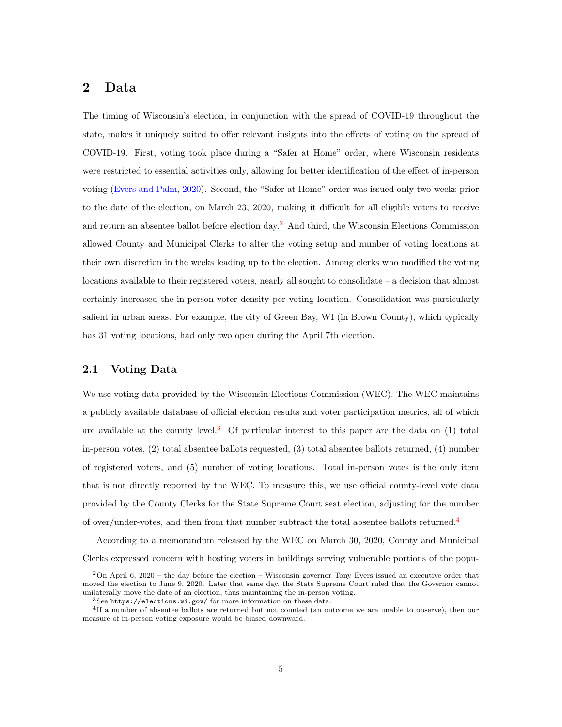# 2 Data

The timing of Wisconsin's election, in conjunction with the spread of COVID-19 throughout the state, makes it uniquely suited to offer relevant insights into the effects of voting on the spread of COVID-19. First, voting took place during a "Safer at Home" order, where Wisconsin residents were restricted to essential activities only, allowing for better identification of the effect of in-person voting [\(Evers and Palm,](#page-19-8) [2020\)](#page-19-8). Second, the "Safer at Home" order was issued only two weeks prior to the date of the election, on March 23, 2020, making it difficult for all eligible voters to receive and return an absentee ballot before election day.[2](#page-5-0) And third, the Wisconsin Elections Commission allowed County and Municipal Clerks to alter the voting setup and number of voting locations at their own discretion in the weeks leading up to the election. Among clerks who modified the voting locations available to their registered voters, nearly all sought to consolidate – a decision that almost certainly increased the in-person voter density per voting location. Consolidation was particularly salient in urban areas. For example, the city of Green Bay, WI (in Brown County), which typically has 31 voting locations, had only two open during the April 7th election.

#### <span id="page-5-3"></span>2.1 Voting Data

We use voting data provided by the Wisconsin Elections Commission (WEC). The WEC maintains a publicly available database of official election results and voter participation metrics, all of which are available at the county level.<sup>[3](#page-5-1)</sup> Of particular interest to this paper are the data on  $(1)$  total in-person votes, (2) total absentee ballots requested, (3) total absentee ballots returned, (4) number of registered voters, and (5) number of voting locations. Total in-person votes is the only item that is not directly reported by the WEC. To measure this, we use official county-level vote data provided by the County Clerks for the State Supreme Court seat election, adjusting for the number of over/under-votes, and then from that number subtract the total absentee ballots returned.[4](#page-5-2)

According to a memorandum released by the WEC on March 30, 2020, County and Municipal Clerks expressed concern with hosting voters in buildings serving vulnerable portions of the popu-

<span id="page-5-0"></span><sup>2</sup>On April 6, 2020 – the day before the election – Wisconsin governor Tony Evers issued an executive order that moved the election to June 9, 2020. Later that same day, the State Supreme Court ruled that the Governor cannot unilaterally move the date of an election, thus maintaining the in-person voting.

<span id="page-5-2"></span><span id="page-5-1"></span><sup>3</sup>See <https://elections.wi.gov/> for more information on these data.

<sup>4</sup> If a number of absentee ballots are returned but not counted (an outcome we are unable to observe), then our measure of in-person voting exposure would be biased downward.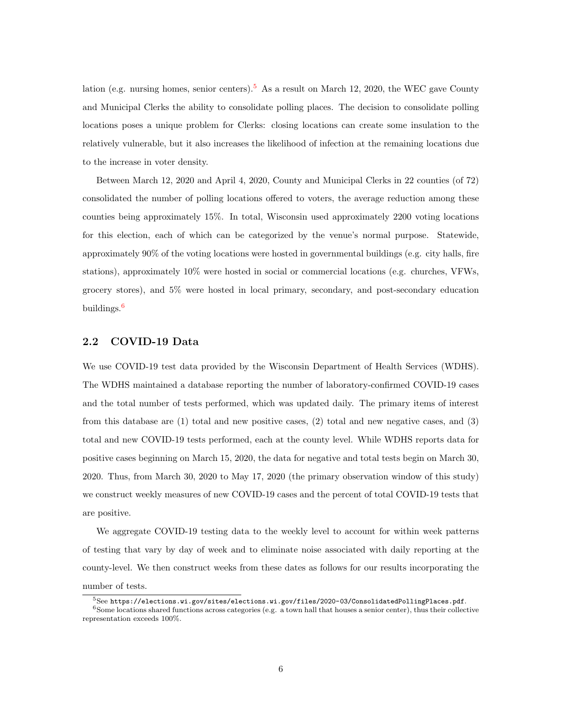lation (e.g. nursing homes, senior centers).<sup>[5](#page-6-0)</sup> As a result on March 12, 2020, the WEC gave County and Municipal Clerks the ability to consolidate polling places. The decision to consolidate polling locations poses a unique problem for Clerks: closing locations can create some insulation to the relatively vulnerable, but it also increases the likelihood of infection at the remaining locations due to the increase in voter density.

Between March 12, 2020 and April 4, 2020, County and Municipal Clerks in 22 counties (of 72) consolidated the number of polling locations offered to voters, the average reduction among these counties being approximately 15%. In total, Wisconsin used approximately 2200 voting locations for this election, each of which can be categorized by the venue's normal purpose. Statewide, approximately 90% of the voting locations were hosted in governmental buildings (e.g. city halls, fire stations), approximately 10% were hosted in social or commercial locations (e.g. churches, VFWs, grocery stores), and 5% were hosted in local primary, secondary, and post-secondary education buildings.[6](#page-6-1)

#### 2.2 COVID-19 Data

We use COVID-19 test data provided by the Wisconsin Department of Health Services (WDHS). The WDHS maintained a database reporting the number of laboratory-confirmed COVID-19 cases and the total number of tests performed, which was updated daily. The primary items of interest from this database are (1) total and new positive cases, (2) total and new negative cases, and (3) total and new COVID-19 tests performed, each at the county level. While WDHS reports data for positive cases beginning on March 15, 2020, the data for negative and total tests begin on March 30, 2020. Thus, from March 30, 2020 to May 17, 2020 (the primary observation window of this study) we construct weekly measures of new COVID-19 cases and the percent of total COVID-19 tests that are positive.

We aggregate COVID-19 testing data to the weekly level to account for within week patterns of testing that vary by day of week and to eliminate noise associated with daily reporting at the county-level. We then construct weeks from these dates as follows for our results incorporating the number of tests.

<span id="page-6-1"></span><span id="page-6-0"></span> $^{5}$ See [https://elections.wi.gov/sites/elections.wi.gov/files/2020-03/ConsolidatedPollingPlaces.pdf](https://elections.wi.gov/sites/elections.wi.gov/files/2020-03/Consolidated Polling Places.pdf).

 $6$ Some locations shared functions across categories (e.g. a town hall that houses a senior center), thus their collective representation exceeds 100%.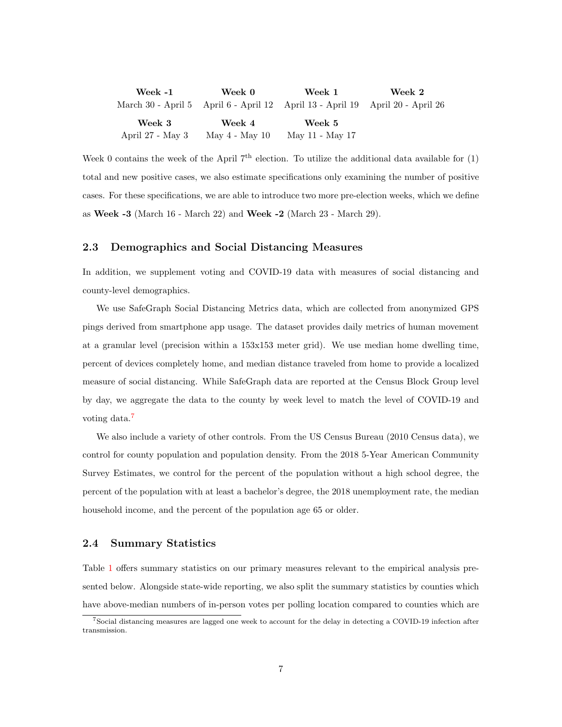| Week -1            | Week 0             | Week 1                                                     | Week 2 |
|--------------------|--------------------|------------------------------------------------------------|--------|
| March 30 - April 5 |                    | April 6 - April 12 April 13 - April 19 April 20 - April 26 |        |
| Week 3             | Week 4             | Week 5                                                     |        |
| April 27 - May 3   | May $4$ - May $10$ | May 11 - May 17                                            |        |

Week 0 contains the week of the April  $7<sup>th</sup>$  election. To utilize the additional data available for (1) total and new positive cases, we also estimate specifications only examining the number of positive cases. For these specifications, we are able to introduce two more pre-election weeks, which we define as Week -3 (March 16 - March 22) and Week -2 (March 23 - March 29).

#### 2.3 Demographics and Social Distancing Measures

In addition, we supplement voting and COVID-19 data with measures of social distancing and county-level demographics.

We use SafeGraph Social Distancing Metrics data, which are collected from anonymized GPS pings derived from smartphone app usage. The dataset provides daily metrics of human movement at a granular level (precision within a 153x153 meter grid). We use median home dwelling time, percent of devices completely home, and median distance traveled from home to provide a localized measure of social distancing. While SafeGraph data are reported at the Census Block Group level by day, we aggregate the data to the county by week level to match the level of COVID-19 and voting data.<sup>[7](#page-7-0)</sup>

We also include a variety of other controls. From the US Census Bureau (2010 Census data), we control for county population and population density. From the 2018 5-Year American Community Survey Estimates, we control for the percent of the population without a high school degree, the percent of the population with at least a bachelor's degree, the 2018 unemployment rate, the median household income, and the percent of the population age 65 or older.

#### 2.4 Summary Statistics

Table [1](#page-24-0) offers summary statistics on our primary measures relevant to the empirical analysis presented below. Alongside state-wide reporting, we also split the summary statistics by counties which have above-median numbers of in-person votes per polling location compared to counties which are

<span id="page-7-0"></span><sup>7</sup>Social distancing measures are lagged one week to account for the delay in detecting a COVID-19 infection after transmission.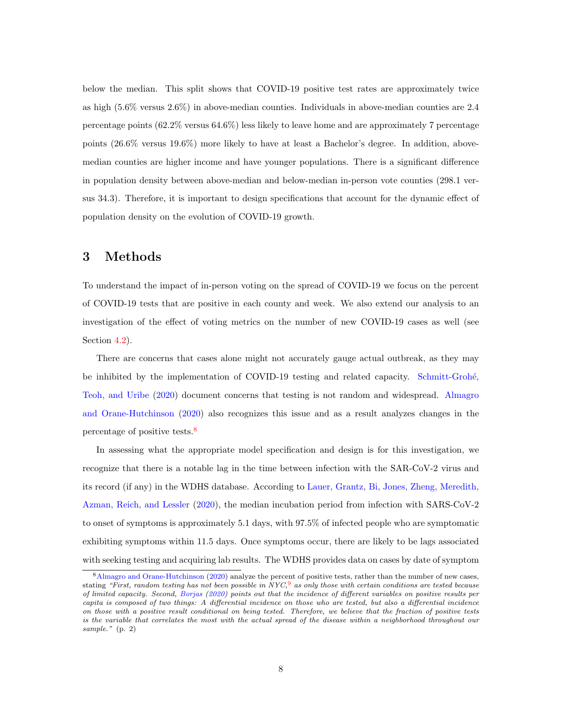below the median. This split shows that COVID-19 positive test rates are approximately twice as high (5.6% versus 2.6%) in above-median counties. Individuals in above-median counties are 2.4 percentage points (62.2% versus 64.6%) less likely to leave home and are approximately 7 percentage points (26.6% versus 19.6%) more likely to have at least a Bachelor's degree. In addition, abovemedian counties are higher income and have younger populations. There is a significant difference in population density between above-median and below-median in-person vote counties (298.1 versus 34.3). Therefore, it is important to design specifications that account for the dynamic effect of population density on the evolution of COVID-19 growth.

# <span id="page-8-1"></span>3 Methods

To understand the impact of in-person voting on the spread of COVID-19 we focus on the percent of COVID-19 tests that are positive in each county and week. We also extend our analysis to an investigation of the effect of voting metrics on the number of new COVID-19 cases as well (see Section [4.2\)](#page-11-0).

There are concerns that cases alone might not accurately gauge actual outbreak, as they may be inhibited by the implementation of COVID-19 testing and related capacity. Schmitt-Grohé, [Teoh, and Uribe](#page-20-4) [\(2020\)](#page-20-4) document concerns that testing is not random and widespread. [Almagro](#page-18-7) [and Orane-Hutchinson](#page-18-7) [\(2020\)](#page-18-7) also recognizes this issue and as a result analyzes changes in the percentage of positive tests.<sup>[8](#page-8-0)</sup>

In assessing what the appropriate model specification and design is for this investigation, we recognize that there is a notable lag in the time between infection with the SAR-CoV-2 virus and its record (if any) in the WDHS database. According to [Lauer, Grantz, Bi, Jones, Zheng, Meredith,](#page-20-5) [Azman, Reich, and Lessler](#page-20-5) [\(2020\)](#page-20-5), the median incubation period from infection with SARS-CoV-2 to onset of symptoms is approximately 5.1 days, with 97.5% of infected people who are symptomatic exhibiting symptoms within 11.5 days. Once symptoms occur, there are likely to be lags associated with seeking testing and acquiring lab results. The WDHS provides data on cases by date of symptom

<span id="page-8-0"></span><sup>&</sup>lt;sup>8</sup>[Almagro and Orane-Hutchinson](#page-18-7) [\(2020\)](#page-18-7) analyze the percent of positive tests, rather than the number of new cases, stating "First, random testing has not been possible in  $Nyc$ , as only those with certain conditions are tested because of limited capacity. Second, [Borjas](#page-18-10) [\(2020\)](#page-18-10) points out that the incidence of different variables on positive results per capita is composed of two things: A differential incidence on those who are tested, but also a differential incidence on those with a positive result conditional on being tested. Therefore, we believe that the fraction of positive tests is the variable that correlates the most with the actual spread of the disease within a neighborhood throughout our sample." (p. 2)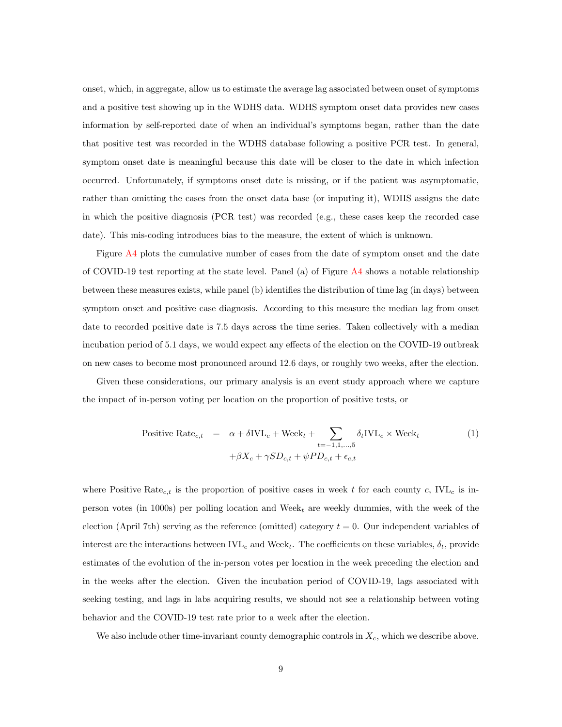onset, which, in aggregate, allow us to estimate the average lag associated between onset of symptoms and a positive test showing up in the WDHS data. WDHS symptom onset data provides new cases information by self-reported date of when an individual's symptoms began, rather than the date that positive test was recorded in the WDHS database following a positive PCR test. In general, symptom onset date is meaningful because this date will be closer to the date in which infection occurred. Unfortunately, if symptoms onset date is missing, or if the patient was asymptomatic, rather than omitting the cases from the onset data base (or imputing it), WDHS assigns the date in which the positive diagnosis (PCR test) was recorded (e.g., these cases keep the recorded case date). This mis-coding introduces bias to the measure, the extent of which is unknown.

Figure [A4](#page-31-0) plots the cumulative number of cases from the date of symptom onset and the date of COVID-19 test reporting at the state level. Panel (a) of Figure [A4](#page-31-0) shows a notable relationship between these measures exists, while panel (b) identifies the distribution of time lag (in days) between symptom onset and positive case diagnosis. According to this measure the median lag from onset date to recorded positive date is 7.5 days across the time series. Taken collectively with a median incubation period of 5.1 days, we would expect any effects of the election on the COVID-19 outbreak on new cases to become most pronounced around 12.6 days, or roughly two weeks, after the election.

Given these considerations, our primary analysis is an event study approach where we capture the impact of in-person voting per location on the proportion of positive tests, or

<span id="page-9-0"></span>Positive Rate<sub>c,t</sub> = 
$$
\alpha + \delta IVL_c + \text{Week}_t + \sum_{t=-1,1,...,5} \delta_t IVL_c \times \text{Week}_t
$$
 (1)  
+ $\beta X_c + \gamma SD_{c,t} + \psi PD_{c,t} + \epsilon_{c,t}$ 

where Positive Rate<sub>c,t</sub> is the proportion of positive cases in week t for each county c,  $IVL<sub>c</sub>$  is inperson votes (in 1000s) per polling location and Week<sub>t</sub> are weekly dummies, with the week of the election (April 7th) serving as the reference (omitted) category  $t = 0$ . Our independent variables of interest are the interactions between  $IVL_c$  and  $Week_t$ . The coefficients on these variables,  $\delta_t$ , provide estimates of the evolution of the in-person votes per location in the week preceding the election and in the weeks after the election. Given the incubation period of COVID-19, lags associated with seeking testing, and lags in labs acquiring results, we should not see a relationship between voting behavior and the COVID-19 test rate prior to a week after the election.

We also include other time-invariant county demographic controls in  $X_c$ , which we describe above.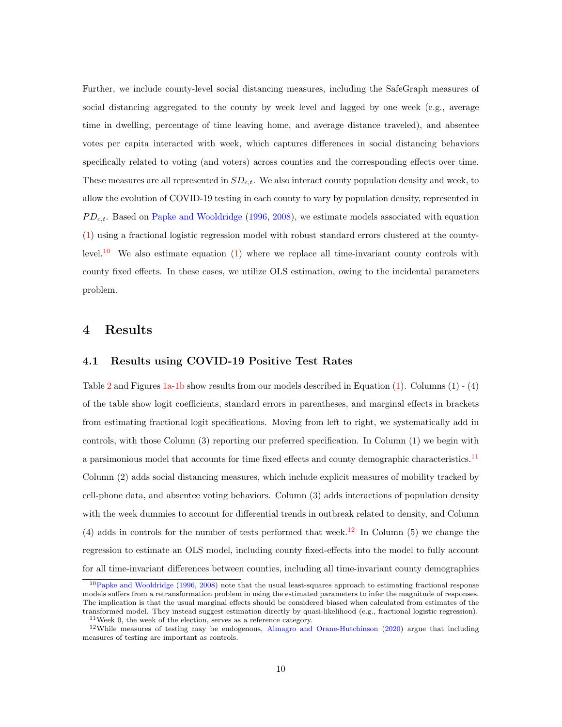Further, we include county-level social distancing measures, including the SafeGraph measures of social distancing aggregated to the county by week level and lagged by one week (e.g., average time in dwelling, percentage of time leaving home, and average distance traveled), and absentee votes per capita interacted with week, which captures differences in social distancing behaviors specifically related to voting (and voters) across counties and the corresponding effects over time. These measures are all represented in  $SD_{c,t}$ . We also interact county population density and week, to allow the evolution of COVID-19 testing in each county to vary by population density, represented in  $PD_{c,t}$ . Based on [Papke and Wooldridge](#page-20-6) [\(1996,](#page-20-6) [2008\)](#page-20-7), we estimate models associated with equation [\(1\)](#page-9-0) using a fractional logistic regression model with robust standard errors clustered at the county-level.<sup>[10](#page-10-0)</sup> We also estimate equation  $(1)$  where we replace all time-invariant county controls with county fixed effects. In these cases, we utilize OLS estimation, owing to the incidental parameters problem.

# 4 Results

#### 4.1 Results using COVID-19 Positive Test Rates

Table [2](#page-25-0) and Figures [1a-1b](#page-21-0) show results from our models described in Equation [\(1\)](#page-9-0). Columns (1) - (4) of the table show logit coefficients, standard errors in parentheses, and marginal effects in brackets from estimating fractional logit specifications. Moving from left to right, we systematically add in controls, with those Column (3) reporting our preferred specification. In Column (1) we begin with a parsimonious model that accounts for time fixed effects and county demographic characteristics.<sup>[11](#page-10-1)</sup> Column (2) adds social distancing measures, which include explicit measures of mobility tracked by cell-phone data, and absentee voting behaviors. Column (3) adds interactions of population density with the week dummies to account for differential trends in outbreak related to density, and Column (4) adds in controls for the number of tests performed that week.<sup>[12](#page-10-2)</sup> In Column (5) we change the regression to estimate an OLS model, including county fixed-effects into the model to fully account for all time-invariant differences between counties, including all time-invariant county demographics

<span id="page-10-0"></span> $10P$ apke and Wooldridge [\(1996,](#page-20-6) [2008\)](#page-20-7) note that the usual least-squares approach to estimating fractional response models suffers from a retransformation problem in using the estimated parameters to infer the magnitude of responses. The implication is that the usual marginal effects should be considered biased when calculated from estimates of the transformed model. They instead suggest estimation directly by quasi-likelihood (e.g., fractional logistic regression).

<span id="page-10-2"></span><span id="page-10-1"></span> $11$ Week 0, the week of the election, serves as a reference category.

<sup>12</sup>While measures of testing may be endogenous, [Almagro and Orane-Hutchinson](#page-18-7) [\(2020\)](#page-18-7) argue that including measures of testing are important as controls.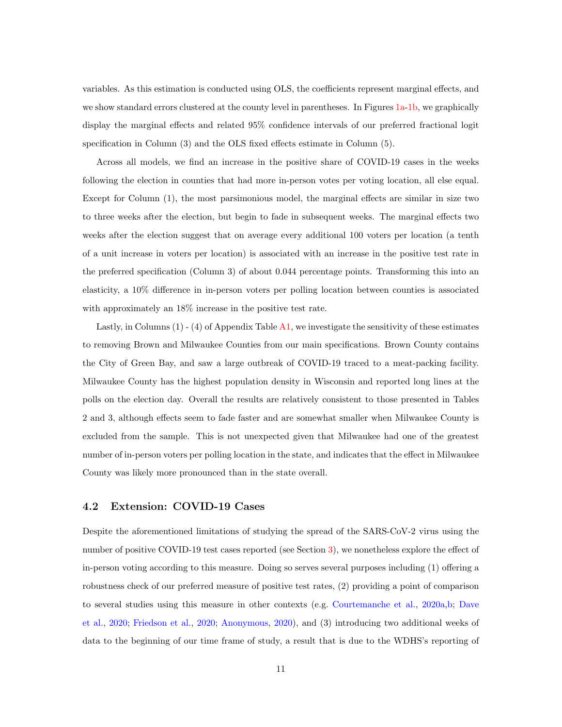variables. As this estimation is conducted using OLS, the coefficients represent marginal effects, and we show standard errors clustered at the county level in parentheses. In Figures [1a-1b,](#page-21-0) we graphically display the marginal effects and related 95% confidence intervals of our preferred fractional logit specification in Column (3) and the OLS fixed effects estimate in Column (5).

Across all models, we find an increase in the positive share of COVID-19 cases in the weeks following the election in counties that had more in-person votes per voting location, all else equal. Except for Column (1), the most parsimonious model, the marginal effects are similar in size two to three weeks after the election, but begin to fade in subsequent weeks. The marginal effects two weeks after the election suggest that on average every additional 100 voters per location (a tenth of a unit increase in voters per location) is associated with an increase in the positive test rate in the preferred specification (Column 3) of about 0.044 percentage points. Transforming this into an elasticity, a 10% difference in in-person voters per polling location between counties is associated with approximately an 18% increase in the positive test rate.

Lastly, in Columns (1) - (4) of Appendix Table [A1,](#page-32-0) we investigate the sensitivity of these estimates to removing Brown and Milwaukee Counties from our main specifications. Brown County contains the City of Green Bay, and saw a large outbreak of COVID-19 traced to a meat-packing facility. Milwaukee County has the highest population density in Wisconsin and reported long lines at the polls on the election day. Overall the results are relatively consistent to those presented in Tables 2 and 3, although effects seem to fade faster and are somewhat smaller when Milwaukee County is excluded from the sample. This is not unexpected given that Milwaukee had one of the greatest number of in-person voters per polling location in the state, and indicates that the effect in Milwaukee County was likely more pronounced than in the state overall.

#### <span id="page-11-0"></span>4.2 Extension: COVID-19 Cases

Despite the aforementioned limitations of studying the spread of the SARS-CoV-2 virus using the number of positive COVID-19 test cases reported (see Section [3\)](#page-8-1), we nonetheless explore the effect of in-person voting according to this measure. Doing so serves several purposes including (1) offering a robustness check of our preferred measure of positive test rates, (2) providing a point of comparison to several studies using this measure in other contexts (e.g. [Courtemanche et al.,](#page-18-5) [2020a,](#page-18-5)[b;](#page-19-2) [Dave](#page-19-3) [et al.,](#page-19-3) [2020;](#page-19-3) [Friedson et al.,](#page-19-7) [2020;](#page-19-7) [Anonymous,](#page-18-6) [2020\)](#page-18-6), and (3) introducing two additional weeks of data to the beginning of our time frame of study, a result that is due to the WDHS's reporting of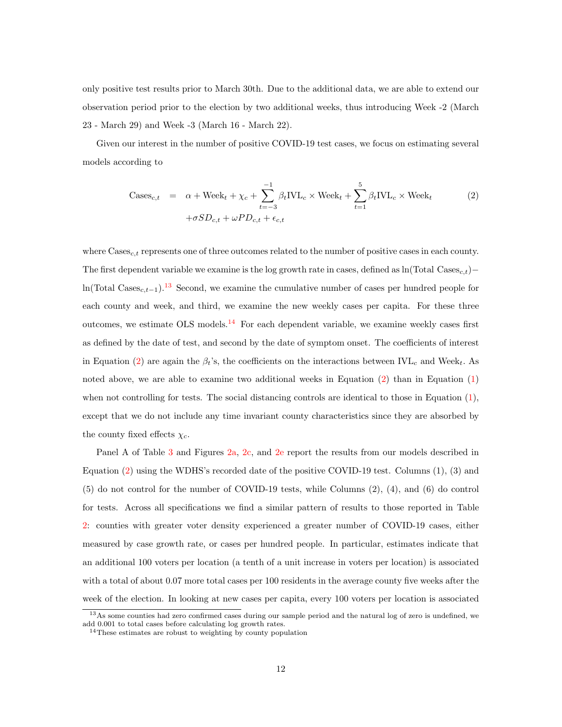only positive test results prior to March 30th. Due to the additional data, we are able to extend our observation period prior to the election by two additional weeks, thus introducing Week -2 (March 23 - March 29) and Week -3 (March 16 - March 22).

Given our interest in the number of positive COVID-19 test cases, we focus on estimating several models according to

<span id="page-12-2"></span>
$$
\text{Cases}_{c,t} = \alpha + \text{Week}_{t} + \chi_{c} + \sum_{t=-3}^{-1} \beta_{t} \text{IVL}_{c} \times \text{Week}_{t} + \sum_{t=1}^{5} \beta_{t} \text{IVL}_{c} \times \text{Week}_{t} \tag{2}
$$

$$
+\sigma SD_{c,t} + \omega PD_{c,t} + \epsilon_{c,t}
$$

where  $\text{Case}_{c,t}$  represents one of three outcomes related to the number of positive cases in each county. The first dependent variable we examine is the log growth rate in cases, defined as ln(Total Cases<sub>c,t</sub>)− ln(Total Cases<sub>c,t−1</sub>).<sup>[13](#page-12-0)</sup> Second, we examine the cumulative number of cases per hundred people for each county and week, and third, we examine the new weekly cases per capita. For these three outcomes, we estimate OLS models.<sup>[14](#page-12-1)</sup> For each dependent variable, we examine weekly cases first as defined by the date of test, and second by the date of symptom onset. The coefficients of interest in Equation [\(2\)](#page-12-2) are again the  $\beta_t$ 's, the coefficients on the interactions between IVL<sub>c</sub> and Week<sub>t</sub>. As noted above, we are able to examine two additional weeks in Equation [\(2\)](#page-12-2) than in Equation [\(1\)](#page-9-0) when not controlling for tests. The social distancing controls are identical to those in Equation [\(1\)](#page-9-0), except that we do not include any time invariant county characteristics since they are absorbed by the county fixed effects  $\chi_c$ .

Panel A of Table [3](#page-26-0) and Figures [2a,](#page-22-0) [2c,](#page-22-0) and [2e](#page-22-0) report the results from our models described in Equation [\(2\)](#page-12-2) using the WDHS's recorded date of the positive COVID-19 test. Columns (1), (3) and (5) do not control for the number of COVID-19 tests, while Columns (2), (4), and (6) do control for tests. Across all specifications we find a similar pattern of results to those reported in Table [2:](#page-25-0) counties with greater voter density experienced a greater number of COVID-19 cases, either measured by case growth rate, or cases per hundred people. In particular, estimates indicate that an additional 100 voters per location (a tenth of a unit increase in voters per location) is associated with a total of about 0.07 more total cases per 100 residents in the average county five weeks after the week of the election. In looking at new cases per capita, every 100 voters per location is associated

<span id="page-12-0"></span><sup>&</sup>lt;sup>13</sup>As some counties had zero confirmed cases during our sample period and the natural log of zero is undefined, we add 0.001 to total cases before calculating log growth rates.

<span id="page-12-1"></span><sup>&</sup>lt;sup>14</sup>These estimates are robust to weighting by county population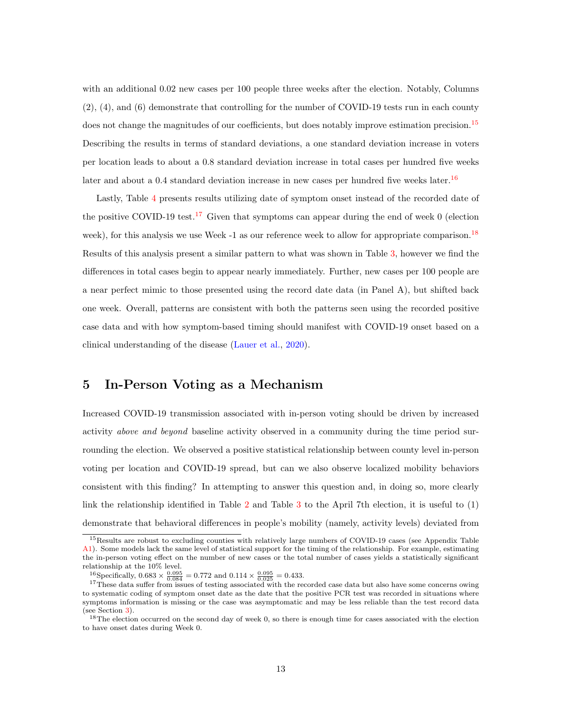with an additional 0.02 new cases per 100 people three weeks after the election. Notably, Columns (2), (4), and (6) demonstrate that controlling for the number of COVID-19 tests run in each county does not change the magnitudes of our coefficients, but does notably improve estimation precision.<sup>[15](#page-13-0)</sup> Describing the results in terms of standard deviations, a one standard deviation increase in voters per location leads to about a 0.8 standard deviation increase in total cases per hundred five weeks later and about a 0.4 standard deviation increase in new cases per hundred five weeks later.<sup>[16](#page-13-1)</sup>

Lastly, Table [4](#page-27-0) presents results utilizing date of symptom onset instead of the recorded date of the positive COVID-19 test.<sup>[17](#page-13-2)</sup> Given that symptoms can appear during the end of week  $\theta$  (election week), for this analysis we use Week  $-1$  as our reference week to allow for appropriate comparison.<sup>[18](#page-13-3)</sup> Results of this analysis present a similar pattern to what was shown in Table [3,](#page-26-0) however we find the differences in total cases begin to appear nearly immediately. Further, new cases per 100 people are a near perfect mimic to those presented using the record date data (in Panel A), but shifted back one week. Overall, patterns are consistent with both the patterns seen using the recorded positive case data and with how symptom-based timing should manifest with COVID-19 onset based on a clinical understanding of the disease [\(Lauer et al.,](#page-20-5) [2020\)](#page-20-5).

# 5 In-Person Voting as a Mechanism

Increased COVID-19 transmission associated with in-person voting should be driven by increased activity above and beyond baseline activity observed in a community during the time period surrounding the election. We observed a positive statistical relationship between county level in-person voting per location and COVID-19 spread, but can we also observe localized mobility behaviors consistent with this finding? In attempting to answer this question and, in doing so, more clearly link the relationship identified in Table [2](#page-25-0) and Table [3](#page-26-0) to the April 7th election, it is useful to (1) demonstrate that behavioral differences in people's mobility (namely, activity levels) deviated from

<span id="page-13-0"></span><sup>&</sup>lt;sup>15</sup>Results are robust to excluding counties with relatively large numbers of COVID-19 cases (see Appendix Table [A1\)](#page-32-0). Some models lack the same level of statistical support for the timing of the relationship. For example, estimating the in-person voting effect on the number of new cases or the total number of cases yields a statistically significant relationship at the 10% level.

<span id="page-13-2"></span><span id="page-13-1"></span><sup>&</sup>lt;sup>16</sup>Specifically,  $0.683 \times \frac{0.095}{0.084} = 0.772$  and  $0.114 \times \frac{0.095}{0.025} = 0.433$ .

<sup>&</sup>lt;sup>17</sup>These data suffer from issues of testing associated with the recorded case data but also have some concerns owing to systematic coding of symptom onset date as the date that the positive PCR test was recorded in situations where symptoms information is missing or the case was asymptomatic and may be less reliable than the test record data (see Section [3\)](#page-8-0).

<span id="page-13-3"></span><sup>18</sup>The election occurred on the second day of week 0, so there is enough time for cases associated with the election to have onset dates during Week 0.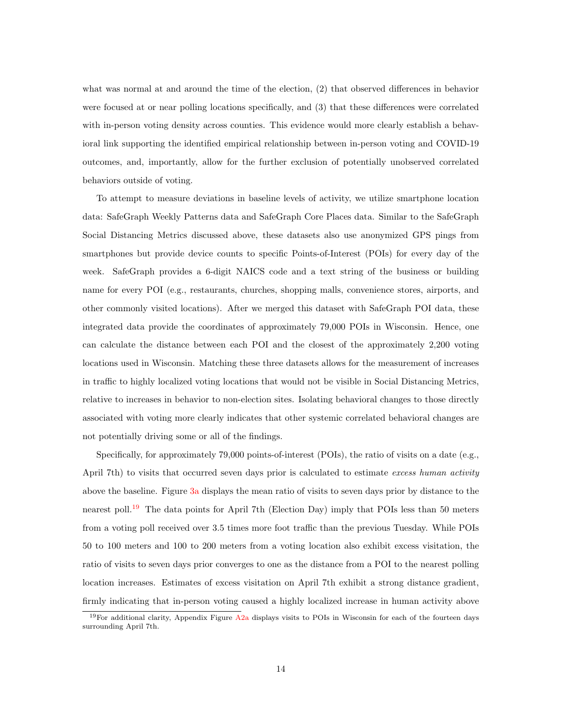what was normal at and around the time of the election, (2) that observed differences in behavior were focused at or near polling locations specifically, and (3) that these differences were correlated with in-person voting density across counties. This evidence would more clearly establish a behavioral link supporting the identified empirical relationship between in-person voting and COVID-19 outcomes, and, importantly, allow for the further exclusion of potentially unobserved correlated behaviors outside of voting.

To attempt to measure deviations in baseline levels of activity, we utilize smartphone location data: SafeGraph Weekly Patterns data and SafeGraph Core Places data. Similar to the SafeGraph Social Distancing Metrics discussed above, these datasets also use anonymized GPS pings from smartphones but provide device counts to specific Points-of-Interest (POIs) for every day of the week. SafeGraph provides a 6-digit NAICS code and a text string of the business or building name for every POI (e.g., restaurants, churches, shopping malls, convenience stores, airports, and other commonly visited locations). After we merged this dataset with SafeGraph POI data, these integrated data provide the coordinates of approximately 79,000 POIs in Wisconsin. Hence, one can calculate the distance between each POI and the closest of the approximately 2,200 voting locations used in Wisconsin. Matching these three datasets allows for the measurement of increases in traffic to highly localized voting locations that would not be visible in Social Distancing Metrics, relative to increases in behavior to non-election sites. Isolating behavioral changes to those directly associated with voting more clearly indicates that other systemic correlated behavioral changes are not potentially driving some or all of the findings.

Specifically, for approximately 79,000 points-of-interest (POIs), the ratio of visits on a date (e.g., April 7th) to visits that occurred seven days prior is calculated to estimate excess human activity above the baseline. Figure [3a](#page-23-0) displays the mean ratio of visits to seven days prior by distance to the nearest poll.<sup>[19](#page-14-0)</sup> The data points for April 7th (Election Day) imply that POIs less than 50 meters from a voting poll received over 3.5 times more foot traffic than the previous Tuesday. While POIs 50 to 100 meters and 100 to 200 meters from a voting location also exhibit excess visitation, the ratio of visits to seven days prior converges to one as the distance from a POI to the nearest polling location increases. Estimates of excess visitation on April 7th exhibit a strong distance gradient, firmly indicating that in-person voting caused a highly localized increase in human activity above

<span id="page-14-0"></span><sup>&</sup>lt;sup>19</sup>For additional clarity, Appendix Figure [A2a](#page-29-0) displays visits to POIs in Wisconsin for each of the fourteen days surrounding April 7th.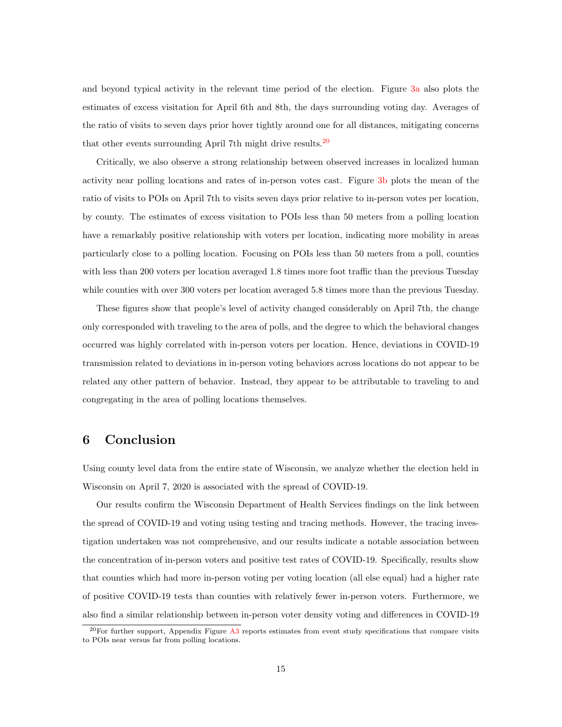and beyond typical activity in the relevant time period of the election. Figure [3a](#page-23-0) also plots the estimates of excess visitation for April 6th and 8th, the days surrounding voting day. Averages of the ratio of visits to seven days prior hover tightly around one for all distances, mitigating concerns that other events surrounding April 7th might drive results.  $20$ 

Critically, we also observe a strong relationship between observed increases in localized human activity near polling locations and rates of in-person votes cast. Figure [3b](#page-23-0) plots the mean of the ratio of visits to POIs on April 7th to visits seven days prior relative to in-person votes per location, by county. The estimates of excess visitation to POIs less than 50 meters from a polling location have a remarkably positive relationship with voters per location, indicating more mobility in areas particularly close to a polling location. Focusing on POIs less than 50 meters from a poll, counties with less than 200 voters per location averaged 1.8 times more foot traffic than the previous Tuesday while counties with over 300 voters per location averaged 5.8 times more than the previous Tuesday.

These figures show that people's level of activity changed considerably on April 7th, the change only corresponded with traveling to the area of polls, and the degree to which the behavioral changes occurred was highly correlated with in-person voters per location. Hence, deviations in COVID-19 transmission related to deviations in in-person voting behaviors across locations do not appear to be related any other pattern of behavior. Instead, they appear to be attributable to traveling to and congregating in the area of polling locations themselves.

# 6 Conclusion

Using county level data from the entire state of Wisconsin, we analyze whether the election held in Wisconsin on April 7, 2020 is associated with the spread of COVID-19.

Our results confirm the Wisconsin Department of Health Services findings on the link between the spread of COVID-19 and voting using testing and tracing methods. However, the tracing investigation undertaken was not comprehensive, and our results indicate a notable association between the concentration of in-person voters and positive test rates of COVID-19. Specifically, results show that counties which had more in-person voting per voting location (all else equal) had a higher rate of positive COVID-19 tests than counties with relatively fewer in-person voters. Furthermore, we also find a similar relationship between in-person voter density voting and differences in COVID-19

<span id="page-15-0"></span> $20$ For further support, Appendix Figure [A3](#page-30-0) reports estimates from event study specifications that compare visits to POIs near versus far from polling locations.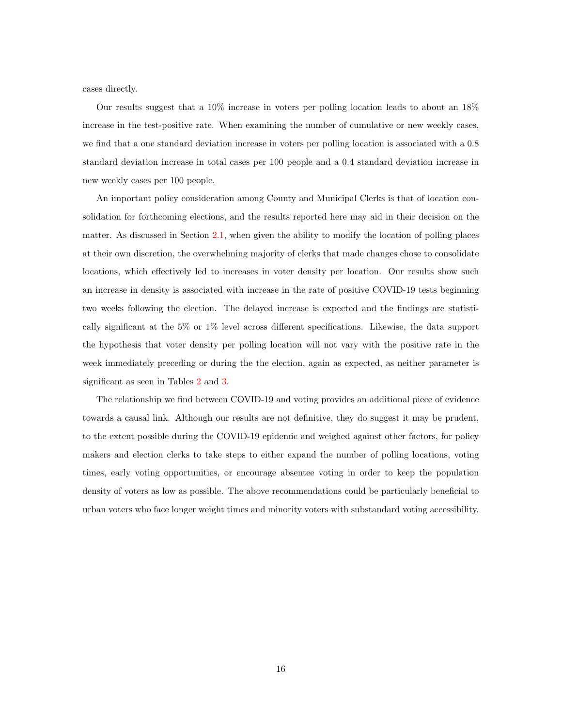cases directly.

Our results suggest that a 10% increase in voters per polling location leads to about an 18% increase in the test-positive rate. When examining the number of cumulative or new weekly cases, we find that a one standard deviation increase in voters per polling location is associated with a 0.8 standard deviation increase in total cases per 100 people and a 0.4 standard deviation increase in new weekly cases per 100 people.

An important policy consideration among County and Municipal Clerks is that of location consolidation for forthcoming elections, and the results reported here may aid in their decision on the matter. As discussed in Section [2.1,](#page-5-3) when given the ability to modify the location of polling places at their own discretion, the overwhelming majority of clerks that made changes chose to consolidate locations, which effectively led to increases in voter density per location. Our results show such an increase in density is associated with increase in the rate of positive COVID-19 tests beginning two weeks following the election. The delayed increase is expected and the findings are statistically significant at the 5% or 1% level across different specifications. Likewise, the data support the hypothesis that voter density per polling location will not vary with the positive rate in the week immediately preceding or during the the election, again as expected, as neither parameter is significant as seen in Tables [2](#page-25-0) and [3.](#page-26-0)

The relationship we find between COVID-19 and voting provides an additional piece of evidence towards a causal link. Although our results are not definitive, they do suggest it may be prudent, to the extent possible during the COVID-19 epidemic and weighed against other factors, for policy makers and election clerks to take steps to either expand the number of polling locations, voting times, early voting opportunities, or encourage absentee voting in order to keep the population density of voters as low as possible. The above recommendations could be particularly beneficial to urban voters who face longer weight times and minority voters with substandard voting accessibility.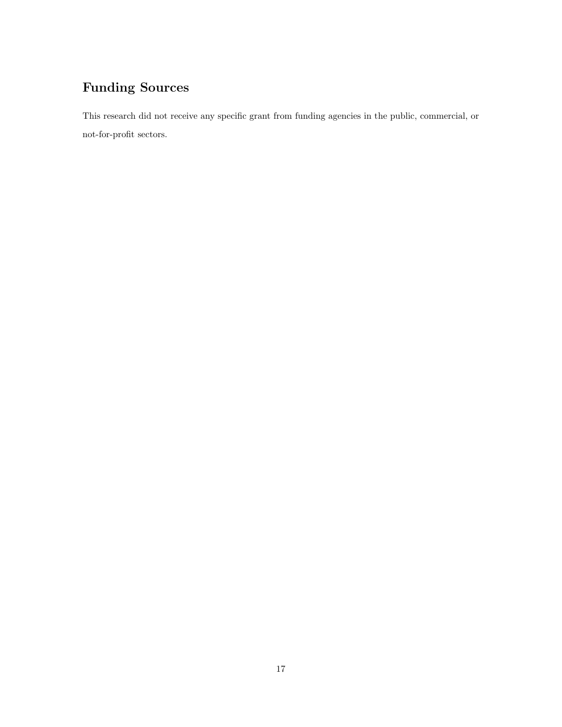# Funding Sources

This research did not receive any specific grant from funding agencies in the public, commercial, or not-for-profit sectors.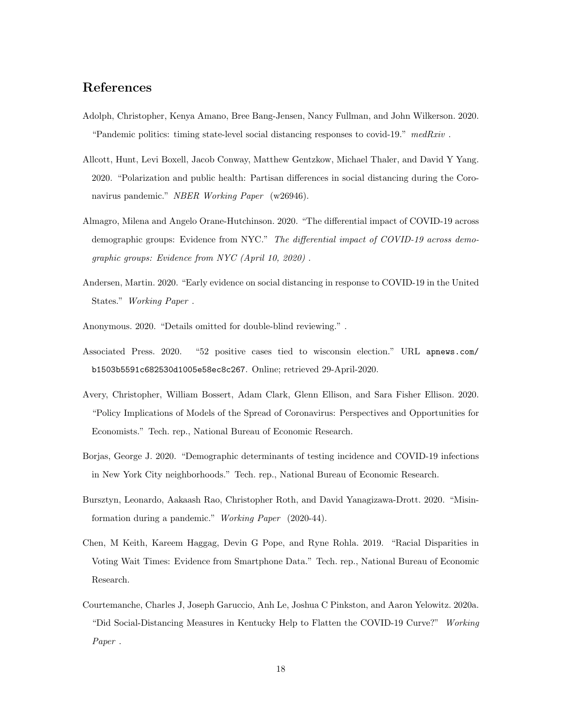# References

- <span id="page-18-9"></span>Adolph, Christopher, Kenya Amano, Bree Bang-Jensen, Nancy Fullman, and John Wilkerson. 2020. "Pandemic politics: timing state-level social distancing responses to covid-19." medRxiv.
- <span id="page-18-3"></span>Allcott, Hunt, Levi Boxell, Jacob Conway, Matthew Gentzkow, Michael Thaler, and David Y Yang. 2020. "Polarization and public health: Partisan differences in social distancing during the Coronavirus pandemic." NBER Working Paper (w26946).
- <span id="page-18-7"></span>Almagro, Milena and Angelo Orane-Hutchinson. 2020. "The differential impact of COVID-19 across demographic groups: Evidence from NYC." The differential impact of COVID-19 across demographic groups: Evidence from NYC (April 10, 2020) .
- <span id="page-18-8"></span>Andersen, Martin. 2020. "Early evidence on social distancing in response to COVID-19 in the United States." Working Paper .
- <span id="page-18-6"></span>Anonymous. 2020. "Details omitted for double-blind reviewing." .
- <span id="page-18-1"></span>Associated Press. 2020. "52 positive cases tied to wisconsin election." URL [apnews.com/](apnews.com/b1503b5591c682530d1005e58ec8c267) [b1503b5591c682530d1005e58ec8c267](apnews.com/b1503b5591c682530d1005e58ec8c267). Online; retrieved 29-April-2020.
- <span id="page-18-2"></span>Avery, Christopher, William Bossert, Adam Clark, Glenn Ellison, and Sara Fisher Ellison. 2020. "Policy Implications of Models of the Spread of Coronavirus: Perspectives and Opportunities for Economists." Tech. rep., National Bureau of Economic Research.
- <span id="page-18-10"></span>Borjas, George J. 2020. "Demographic determinants of testing incidence and COVID-19 infections in New York City neighborhoods." Tech. rep., National Bureau of Economic Research.
- <span id="page-18-4"></span>Bursztyn, Leonardo, Aakaash Rao, Christopher Roth, and David Yanagizawa-Drott. 2020. "Misinformation during a pandemic." Working Paper (2020-44).
- <span id="page-18-0"></span>Chen, M Keith, Kareem Haggag, Devin G Pope, and Ryne Rohla. 2019. "Racial Disparities in Voting Wait Times: Evidence from Smartphone Data." Tech. rep., National Bureau of Economic Research.
- <span id="page-18-5"></span>Courtemanche, Charles J, Joseph Garuccio, Anh Le, Joshua C Pinkston, and Aaron Yelowitz. 2020a. "Did Social-Distancing Measures in Kentucky Help to Flatten the COVID-19 Curve?" Working Paper .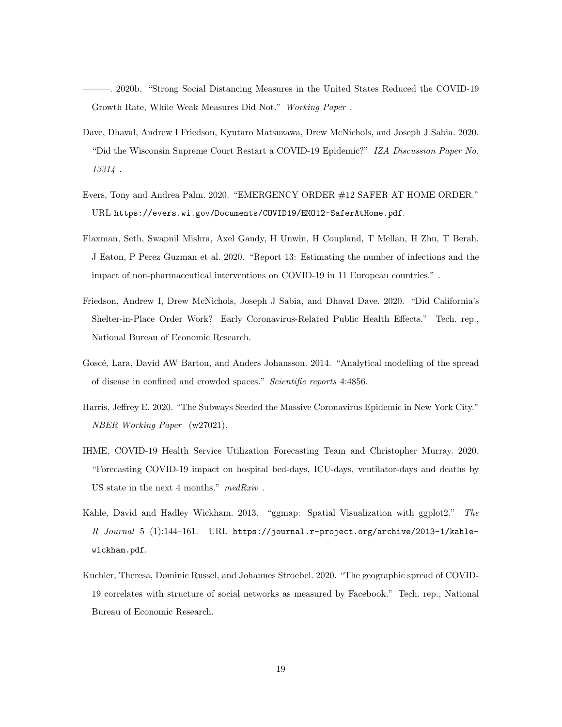<span id="page-19-2"></span>———. 2020b. "Strong Social Distancing Measures in the United States Reduced the COVID-19 Growth Rate, While Weak Measures Did Not." Working Paper .

- <span id="page-19-3"></span>Dave, Dhaval, Andrew I Friedson, Kyutaro Matsuzawa, Drew McNichols, and Joseph J Sabia. 2020. "Did the Wisconsin Supreme Court Restart a COVID-19 Epidemic?" IZA Discussion Paper No. 13314 .
- <span id="page-19-8"></span>Evers, Tony and Andrea Palm. 2020. "EMERGENCY ORDER #12 SAFER AT HOME ORDER." URL <https://evers.wi.gov/Documents/COVID19/EMO12-SaferAtHome.pdf>.
- <span id="page-19-0"></span>Flaxman, Seth, Swapnil Mishra, Axel Gandy, H Unwin, H Coupland, T Mellan, H Zhu, T Berah, J Eaton, P Perez Guzman et al. 2020. "Report 13: Estimating the number of infections and the impact of non-pharmaceutical interventions on COVID-19 in 11 European countries." .
- <span id="page-19-7"></span>Friedson, Andrew I, Drew McNichols, Joseph J Sabia, and Dhaval Dave. 2020. "Did California's Shelter-in-Place Order Work? Early Coronavirus-Related Public Health Effects." Tech. rep., National Bureau of Economic Research.
- <span id="page-19-6"></span>Goscé, Lara, David AW Barton, and Anders Johansson. 2014. "Analytical modelling of the spread of disease in confined and crowded spaces." Scientific reports 4:4856.
- <span id="page-19-4"></span>Harris, Jeffrey E. 2020. "The Subways Seeded the Massive Coronavirus Epidemic in New York City." NBER Working Paper (w27021).
- <span id="page-19-1"></span>IHME, COVID-19 Health Service Utilization Forecasting Team and Christopher Murray. 2020. "Forecasting COVID-19 impact on hospital bed-days, ICU-days, ventilator-days and deaths by US state in the next 4 months." medRxiv .
- <span id="page-19-9"></span>Kahle, David and Hadley Wickham. 2013. "ggmap: Spatial Visualization with ggplot2." The R Journal 5 (1):144–161. URL [https://journal.r-project.org/archive/2013-1/kahle](https://journal.r-project.org/archive/2013-1/kahle-wickham.pdf)[wickham.pdf](https://journal.r-project.org/archive/2013-1/kahle-wickham.pdf).
- <span id="page-19-5"></span>Kuchler, Theresa, Dominic Russel, and Johannes Stroebel. 2020. "The geographic spread of COVID-19 correlates with structure of social networks as measured by Facebook." Tech. rep., National Bureau of Economic Research.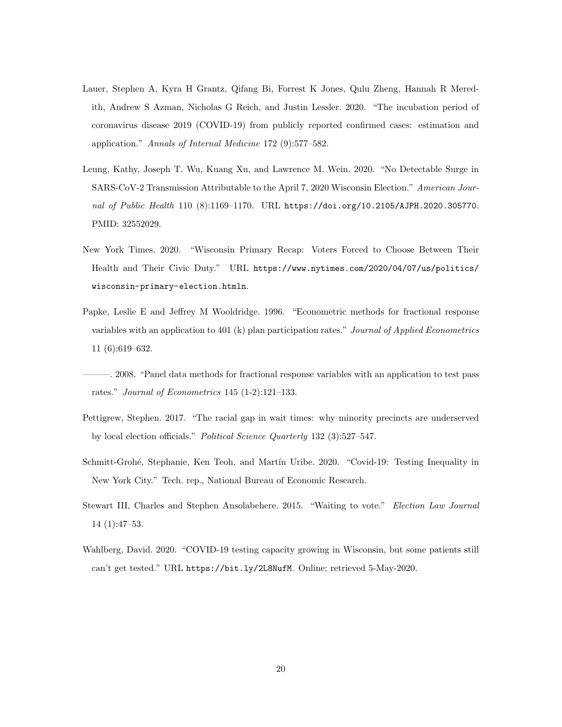- <span id="page-20-5"></span>Lauer, Stephen A, Kyra H Grantz, Qifang Bi, Forrest K Jones, Qulu Zheng, Hannah R Meredith, Andrew S Azman, Nicholas G Reich, and Justin Lessler. 2020. "The incubation period of coronavirus disease 2019 (COVID-19) from publicly reported confirmed cases: estimation and application." Annals of Internal Medicine 172 (9):577–582.
- <span id="page-20-3"></span>Leung, Kathy, Joseph T. Wu, Kuang Xu, and Lawrence M. Wein. 2020. "No Detectable Surge in SARS-CoV-2 Transmission Attributable to the April 7, 2020 Wisconsin Election." American Journal of Public Health 110 (8):1169–1170. URL <https://doi.org/10.2105/AJPH.2020.305770>. PMID: 32552029.
- <span id="page-20-0"></span>New York Times. 2020. "Wisconsin Primary Recap: Voters Forced to Choose Between Their Health and Their Civic Duty." URL [https://www.nytimes.com/2020/04/07/us/politics/](https://www.nytimes.com/2020/04/07/us/politics/wisconsin-primary-election.htmln) [wisconsin-primary-election.htmln](https://www.nytimes.com/2020/04/07/us/politics/wisconsin-primary-election.htmln).
- <span id="page-20-6"></span>Papke, Leslie E and Jeffrey M Wooldridge. 1996. "Econometric methods for fractional response variables with an application to 401 (k) plan participation rates." Journal of Applied Econometrics 11 (6):619–632.
- <span id="page-20-7"></span>———. 2008. "Panel data methods for fractional response variables with an application to test pass rates." Journal of Econometrics 145 (1-2):121–133.
- <span id="page-20-1"></span>Pettigrew, Stephen. 2017. "The racial gap in wait times: why minority precincts are underserved by local election officials." Political Science Quarterly 132 (3):527–547.
- <span id="page-20-4"></span>Schmitt-Grohé, Stephanie, Ken Teoh, and Martín Uribe. 2020. "Covid-19: Testing Inequality in New York City." Tech. rep., National Bureau of Economic Research.
- <span id="page-20-2"></span>Stewart III, Charles and Stephen Ansolabehere. 2015. "Waiting to vote." Election Law Journal 14 (1):47–53.
- Wahlberg, David. 2020. "COVID-19 testing capacity growing in Wisconsin, but some patients still can't get tested." URL <https://bit.ly/2L8NufM>. Online; retrieved 5-May-2020.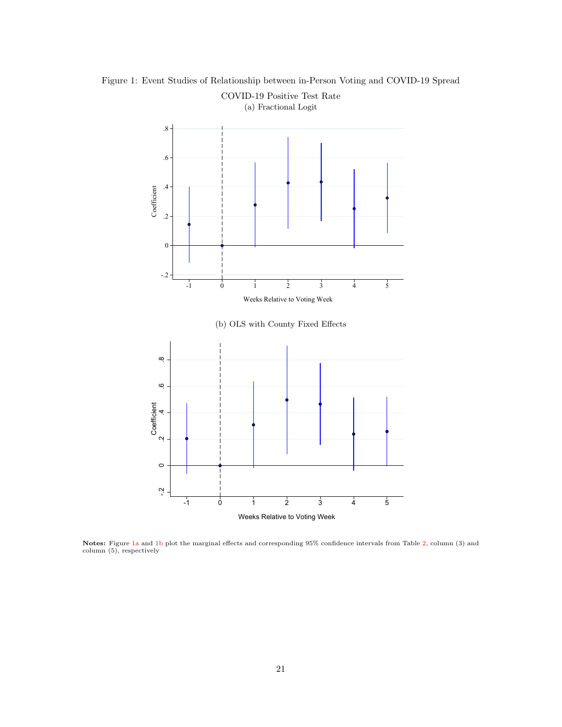

<span id="page-21-0"></span>Figure 1: Event Studies of Relationship between in-Person Voting and COVID-19 Spread COVID-19 Positive Test Rate

Notes: Figure [1a](#page-21-0) and [1b](#page-21-0) plot the marginal effects and corresponding 95% confidence intervals from Table [2,](#page-25-0) column (3) and column (5), respectively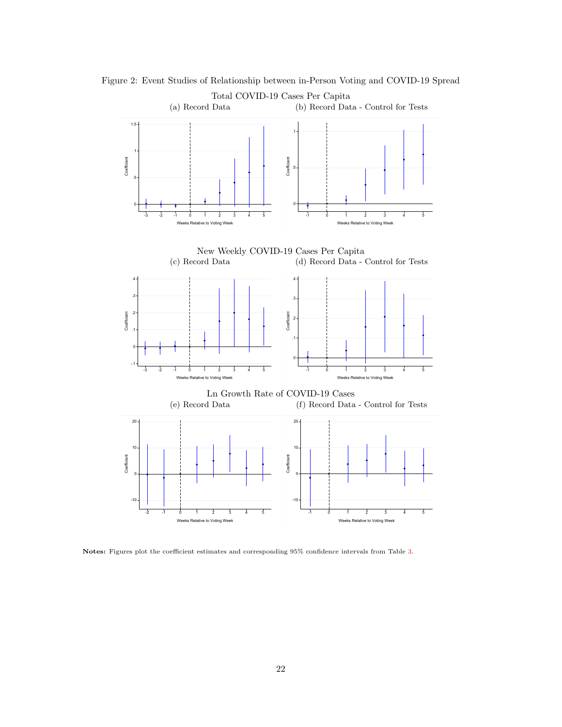

<span id="page-22-0"></span>Figure 2: Event Studies of Relationship between in-Person Voting and COVID-19 Spread Total COVID-19 Cases Per Capita

Notes: Figures plot the coefficient estimates and corresponding 95% confidence intervals from Table [3.](#page-26-0)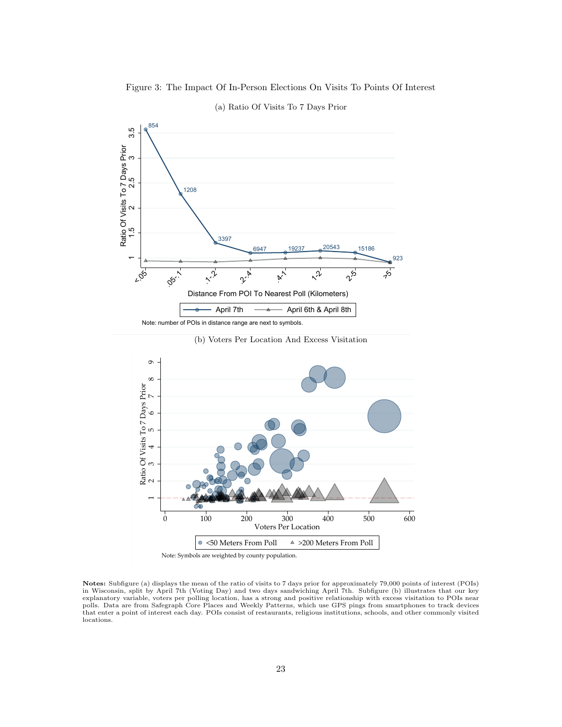<span id="page-23-0"></span>

# 854 and the contract of the contract of the contract of the contract of the contract of the contract of the contract of the contract of the contract of the contract of the contract of the contract of the contract of the co 1208 3397 6947 20237 20543 15186  $\overline{\phantom{0}}$ 4. 3397<br>- 3397<br>- <sup>6947</sup> - <sup>19237</sup> - <sup>20543</sup> - <sup>15186</sup> 923  $\scriptstyle\sim$  $\frac{25}{1208}$ ო Ratio Of Visits To 7 Days Prior<br>
1.5 2.2 2.5 3<br>
1.5 2.2 2.5 3.997<br>
1.2008  $r_{Q_2}$   $r_{Q_3}$ ,  $r_{Q_4}$   $r_{Q_5}$   $r_{Q_6}$   $r_{Q_7}$   $r_{Q_8}$   $r_{Q_9}$   $r_{Q_1}$  $x_{\mu}$  .  $x_{\mu}$  .  $x_{\mu}$  .  $x_{\mu}$  .  $x_{\mu}$  .  $x_{\mu}$  $\gamma^5$   $\gamma^5$ Distance From POI To Nearest Poll (Kilometers) April 7th  $\longrightarrow$  April 6th & April 8th

#### (a) Ratio Of Visits To 7 Days Prior

Note: number of POIs in distance range are next to symbols.





Notes: Subfigure (a) displays the mean of the ratio of visits to 7 days prior for approximately 79,000 points of interest (POIs)<br>in Wisconsin, split by April 7th (Voting Day) and two days sandwiching April 7th. Subfigure ( explanatory variable, voters per polling location, has a strong and positive relationship with excess visitation to POIs near polls. Data are from Safegraph Core Places and Weekly Patterns, which use GPS pings from smartphones to track devices that enter a point of interest each day. POIs consist of restaurants, religious institutions, schools, and other commonly visited locations.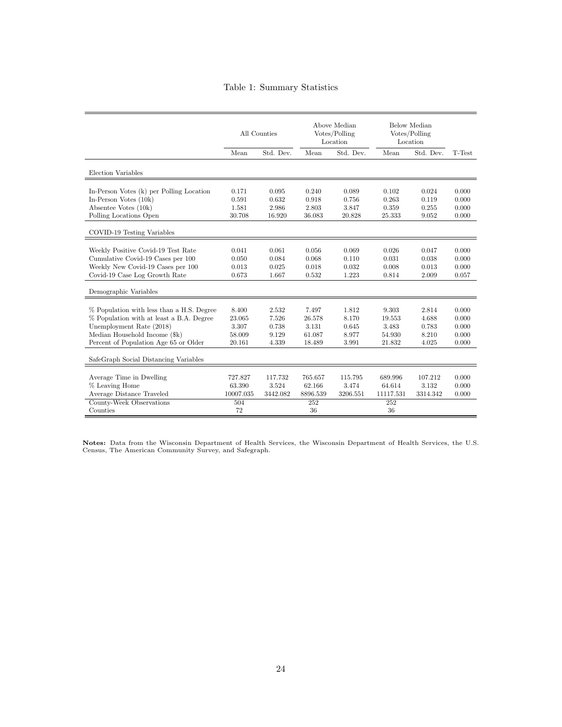# Table 1: Summary Statistics

<span id="page-24-0"></span>

|                                                                        | All Counties      |                  | Above Median<br>Votes/Polling<br>Location |                  | Below Median<br>Votes/Polling<br>Location |                  |                |
|------------------------------------------------------------------------|-------------------|------------------|-------------------------------------------|------------------|-------------------------------------------|------------------|----------------|
|                                                                        | Mean              | Std. Dev.        | Mean                                      | Std. Dev.        | Mean                                      | Std. Dev.        | T-Test         |
| Election Variables                                                     |                   |                  |                                           |                  |                                           |                  |                |
| In-Person Votes (k) per Polling Location<br>In-Person Votes $(10k)$    | 0.171             | 0.095            | 0.240<br>0.918                            | 0.089            | 0.102                                     | 0.024            | 0.000<br>0.000 |
| Absentee Votes (10k)                                                   | 0.591<br>1.581    | 0.632<br>2.986   | 2.803                                     | 0.756<br>3.847   | 0.263<br>0.359                            | 0.119<br>0.255   | 0.000          |
| Polling Locations Open                                                 | 30.708            | 16.920           | 36.083                                    | 20.828           | 25.333                                    | 9.052            | 0.000          |
| COVID-19 Testing Variables                                             |                   |                  |                                           |                  |                                           |                  |                |
| Weekly Positive Covid-19 Test Rate                                     | 0.041             | 0.061            | 0.056                                     | 0.069            | 0.026                                     | 0.047            | 0.000          |
| Cumulative Covid-19 Cases per 100<br>Weekly New Covid-19 Cases per 100 | 0.050<br>0.013    | 0.084<br>0.025   | 0.068<br>0.018                            | 0.110<br>0.032   | 0.031<br>0.008                            | 0.038<br>0.013   | 0.000<br>0.000 |
| Covid-19 Case Log Growth Rate                                          | 0.673             | 1.667            | 0.532                                     | 1.223            | 0.814                                     | 2.009            | 0.057          |
| Demographic Variables                                                  |                   |                  |                                           |                  |                                           |                  |                |
| % Population with less than a H.S. Degree                              | 8.400             | 2.532            | 7.497                                     | 1.812            | 9.303                                     | 2.814            | 0.000          |
| % Population with at least a B.A. Degree                               | 23.065            | 7.526            | 26.578                                    | 8.170            | 19.553                                    | 4.688            | 0.000          |
| Unemployment Rate (2018)                                               | 3.307             | 0.738            | 3.131                                     | 0.645            | 3.483                                     | 0.783            | 0.000          |
| Median Household Income (\$k)<br>Percent of Population Age 65 or Older | 58.009<br>20.161  | 9.129<br>4.339   | 61.087<br>18.489                          | 8.977<br>3.991   | 54.930<br>21.832                          | 8.210<br>4.025   | 0.000<br>0.000 |
| SafeGraph Social Distancing Variables                                  |                   |                  |                                           |                  |                                           |                  |                |
| Average Time in Dwelling<br>% Leaving Home                             | 727.827<br>63.390 | 117.732<br>3.524 | 765.657<br>62.166                         | 115.795<br>3.474 | 689.996<br>64.614                         | 107.212<br>3.132 | 0.000<br>0.000 |
| Average Distance Traveled                                              | 10007.035         | 3442.082         | 8896.539                                  | 3206.551         | 11117.531                                 | 3314.342         | 0.000          |
| County-Week Observations                                               | 504               |                  | 252                                       |                  | 252                                       |                  |                |
| Counties                                                               | 72                |                  | 36                                        |                  | 36                                        |                  |                |

Notes: Data from the Wisconsin Department of Health Services, the Wisconsin Department of Health Services, the U.S. Census, The American Community Survey, and Safegraph.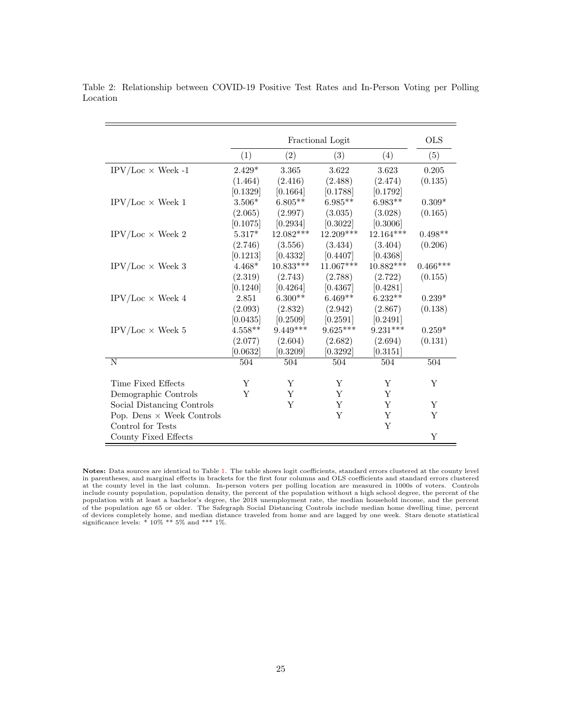<span id="page-25-1"></span>

|                                  |           | <b>OLS</b>  |             |             |            |
|----------------------------------|-----------|-------------|-------------|-------------|------------|
|                                  |           |             |             |             |            |
|                                  | (1)       | (2)         | (3)         | (4)         | (5)        |
| $IPV/Loc \times$ Week -1         | $2.429*$  | 3.365       | 3.622       | 3.623       | 0.205      |
|                                  | (1.464)   | (2.416)     | (2.488)     | (2.474)     | (0.135)    |
|                                  | [0.1329]  | [0.1664]    | [0.1788]    | [0.1792]    |            |
| $IPV/Loc \times$ Week 1          | $3.506*$  | $6.805**$   | $6.985**$   | $6.983**$   | $0.309*$   |
|                                  | (2.065)   | (2.997)     | (3.035)     | (3.028)     | (0.165)    |
|                                  | [0.1075]  | [0.2934]    | [0.3022]    | [0.3006]    |            |
| IPV/Loc $\times$ Week 2          | $5.317*$  | $12.082***$ | 12.209***   | 12.164***   | $0.498**$  |
|                                  | (2.746)   | (3.556)     | (3.434)     | (3.404)     | (0.206)    |
|                                  | [0.1213]  | [0.4332]    | [0.4407]    | [0.4368]    |            |
| $IPV/Loc \times$ Week 3          | $4.468*$  | $10.833***$ | $11.067***$ | $10.882***$ | $0.466***$ |
|                                  | (2.319)   | (2.743)     | (2.788)     | (2.722)     | (0.155)    |
|                                  | [0.1240]  | [0.4264]    | [0.4367]    | [0.4281]    |            |
| IPV/Loc $\times$ Week 4          | 2.851     | $6.300**$   | $6.469**$   | $6.232**$   | $0.239*$   |
|                                  | (2.093)   | (2.832)     | (2.942)     | (2.867)     | (0.138)    |
|                                  | [0.0435]  | [0.2509]    | [0.2591]    | [0.2491]    |            |
| IPV/Loc $\times$ Week 5          | $4.558**$ | $9.449***$  | $9.625***$  | $9.231***$  | $0.259*$   |
|                                  | (2.077)   | (2.604)     | (2.682)     | (2.694)     | (0.131)    |
|                                  | [0.0632]  | [0.3209]    | [0.3292]    | [0.3151]    |            |
| $\overline{\text{N}}$            | 504       | 504         | 504         | 504         | 504        |
|                                  |           |             |             |             |            |
| Time Fixed Effects               | Υ         | Y           | Y           | Y           | Υ          |
| Demographic Controls             | Y         | Y           | Y           | Y           |            |
| Social Distancing Controls       |           | Y           | $\mathbf Y$ | Υ           | Υ          |
| Pop. Dens $\times$ Week Controls |           |             | Y           | Y           | Y          |
| Control for Tests                |           |             |             | Y           |            |
| County Fixed Effects             |           |             |             |             | Y          |

<span id="page-25-0"></span>Table 2: Relationship between COVID-19 Positive Test Rates and In-Person Voting per Polling Location

Notes: Data sources are identical to Table [1.](#page-24-0) The table shows logit coefficients, standard errors clustered at the county level<br>in parentheses, and marginal effects in brackets for the first four columns and OLS coefficien population with at least a bachelor's degree, the 2018 unemployment rate, the median household income, and the percent of the population age 65 or older. The Safegraph Social Distancing Controls include median home dwelling time, percent of devices completely home, and median distance traveled from home and are lagged by one week. Stars denote statistical significance levels: \* 10% \*\* 5% and \*\*\* 1%.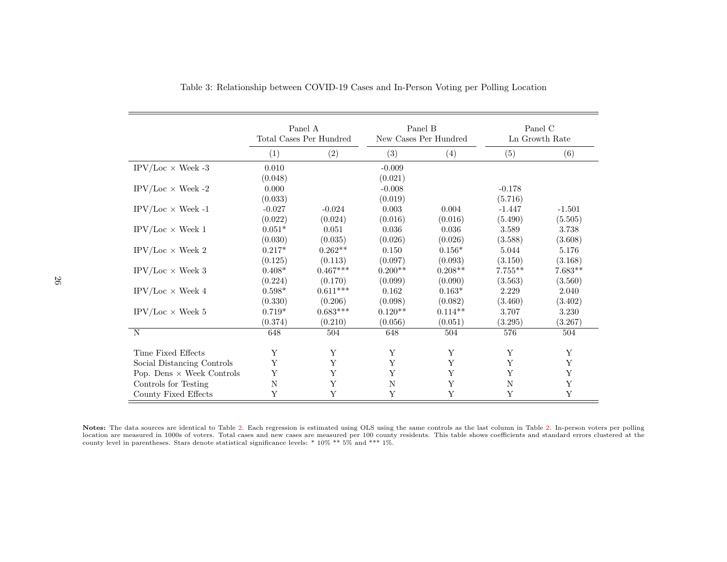|                                  | Panel A<br>Total Cases Per Hundred |            | Panel B<br>New Cases Per Hundred |           | Panel C<br>Ln Growth Rate |           |
|----------------------------------|------------------------------------|------------|----------------------------------|-----------|---------------------------|-----------|
|                                  | (1)                                | (2)        | (3)                              | (4)       | (5)                       | (6)       |
| IPV/Loc $\times$ Week -3         | 0.010                              |            | $-0.009$                         |           |                           |           |
|                                  | (0.048)                            |            | (0.021)                          |           |                           |           |
| IPV/Loc $\times$ Week -2         | 0.000                              |            | $-0.008$                         |           | $-0.178$                  |           |
|                                  | (0.033)                            |            | (0.019)                          |           | (5.716)                   |           |
| $IPV/Loc \times Week -1$         | $-0.027$                           | $-0.024$   | 0.003                            | 0.004     | $-1.447$                  | $-1.501$  |
|                                  | (0.022)                            | (0.024)    | (0.016)                          | (0.016)   | (5.490)                   | (5.505)   |
| IPV/Loc $\times$ Week 1          | $0.051*$                           | 0.051      | 0.036                            | 0.036     | 3.589                     | 3.738     |
|                                  | (0.030)                            | (0.035)    | (0.026)                          | (0.026)   | (3.588)                   | (3.608)   |
| $IPV/Loc \times$ Week 2          | $0.217*$                           | $0.262**$  | 0.150                            | $0.156*$  | 5.044                     | 5.176     |
|                                  | (0.125)                            | (0.113)    | (0.097)                          | (0.093)   | (3.150)                   | (3.168)   |
| $IPV/Loc \times$ Week 3          | $0.408*$                           | $0.467***$ | $0.200**$                        | $0.208**$ | $7.755**$                 | $7.683**$ |
|                                  | (0.224)                            | (0.170)    | (0.099)                          | (0.090)   | (3.563)                   | (3.560)   |
| $IPV/Loc \times Week 4$          | $0.598*$                           | $0.611***$ | $0.162\,$                        | $0.163*$  | 2.229                     | 2.040     |
|                                  | (0.330)                            | (0.206)    | (0.098)                          | (0.082)   | (3.460)                   | (3.402)   |
| $IPV/Loc \times$ Week 5          | $0.719*$                           | $0.683***$ | $0.120**$                        | $0.114**$ | 3.707                     | 3.230     |
|                                  | (0.374)                            | (0.210)    | (0.056)                          | (0.051)   | (3.295)                   | (3.267)   |
| $\mathbf N$                      | 648                                | 504        | 648                              | 504       | 576                       | 504       |
| Time Fixed Effects               | Y                                  | Y          | Y                                | Y         | Y                         | Y         |
| Social Distancing Controls       | Y                                  | Y          | Y                                | Y         | Y                         | Y         |
| Pop. Dens $\times$ Week Controls | Y                                  | Υ          | Y                                | Y         | Y                         | Y         |
| Controls for Testing             | N                                  | Y          | N                                | Y         | N                         | Y         |
| County Fixed Effects             | Y                                  | Y          | Y                                | Y         | Y                         | Y         |

Table 3: Relationship between COVID-19 Cases and In-Person Voting per Polling Location

<span id="page-26-0"></span>Notes: The data sources are identical to Table [2.](#page-25-1) Each regression is estimated using OLS using the same controls as the last column in Table [2.](#page-25-1) In-person voters per pollinglocation are measured in 1000s of voters. Total cases and new cases are measured per 100 county residents. This table shows coefficients and standard errors clustered at the county level in parentheses. Stars denote statis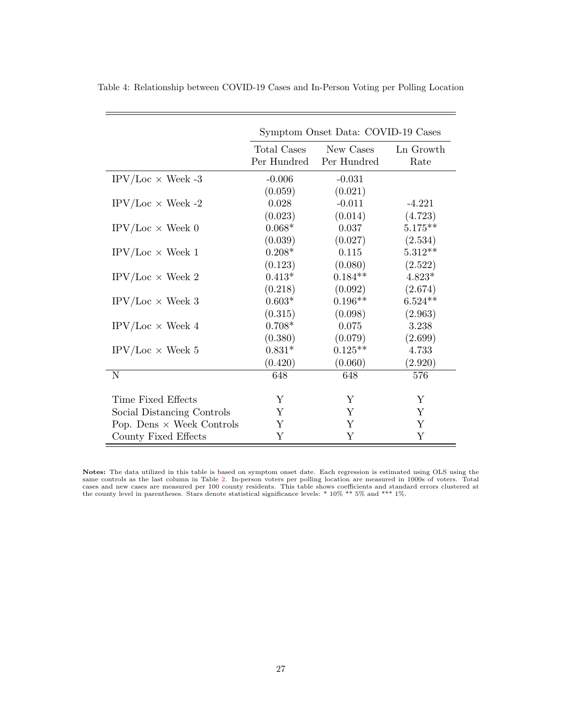|                                  | Symptom Onset Data: COVID-19 Cases |                          |                   |  |  |  |
|----------------------------------|------------------------------------|--------------------------|-------------------|--|--|--|
|                                  | Total Cases<br>Per Hundred         | New Cases<br>Per Hundred | Ln Growth<br>Rate |  |  |  |
| $IPV/Loc \times$ Week -3         | $-0.006$                           | $-0.031$                 |                   |  |  |  |
|                                  | (0.059)                            | (0.021)                  |                   |  |  |  |
| $IPV/Loc \times Week -2$         | 0.028                              | $-0.011$                 | $-4.221$          |  |  |  |
|                                  | (0.023)                            | (0.014)                  | (4.723)           |  |  |  |
| $IPV/Loc \times$ Week 0          | $0.068*$                           | 0.037                    | $5.175***$        |  |  |  |
|                                  | (0.039)                            | (0.027)                  | (2.534)           |  |  |  |
| $IPV/Loc \times Week 1$          | $0.208*$                           | 0.115                    | $5.312**$         |  |  |  |
|                                  | (0.123)                            | (0.080)                  | (2.522)           |  |  |  |
| $IPV/Loc \times$ Week 2          | $0.413*$                           | $0.184**$                | $4.823*$          |  |  |  |
|                                  | (0.218)                            | (0.092)                  | (2.674)           |  |  |  |
| $IPV/Loc \times$ Week 3          | $0.603*$                           | $0.196**$                | $6.524**$         |  |  |  |
|                                  | (0.315)                            | (0.098)                  | (2.963)           |  |  |  |
| $IPV/Loc \times$ Week 4          | $0.708*$                           | 0.075                    | 3.238             |  |  |  |
|                                  | (0.380)                            | (0.079)                  | (2.699)           |  |  |  |
| $IPV/Loc \times$ Week 5          | $0.831*$                           | $0.125**$                | 4.733             |  |  |  |
|                                  | (0.420)                            | (0.060)                  | (2.920)           |  |  |  |
| N                                | 648                                | 648                      | 576               |  |  |  |
|                                  |                                    |                          |                   |  |  |  |
| Time Fixed Effects               | Υ                                  | Y                        | Y                 |  |  |  |
| Social Distancing Controls       | Υ                                  | Y                        | Υ                 |  |  |  |
| Pop. Dens $\times$ Week Controls | Y                                  | Y                        | Y                 |  |  |  |
| County Fixed Effects             | Υ                                  | Υ                        | Y                 |  |  |  |

<span id="page-27-0"></span>Table 4: Relationship between COVID-19 Cases and In-Person Voting per Polling Location

 $=$ 

Notes: The data utilized in this table is based on symptom onset date. Each regression is estimated using OLS using the same controls as the last column in Table [2.](#page-25-0) In-person voters per polling location are measured in 1000s of voters. Total<br>cases and new cases are measured per 100 county residents. This table shows coefficients and standar the county level in parentheses. Stars denote statistical significance levels: \* 10% \*\* 5% and \*\*\* 1%.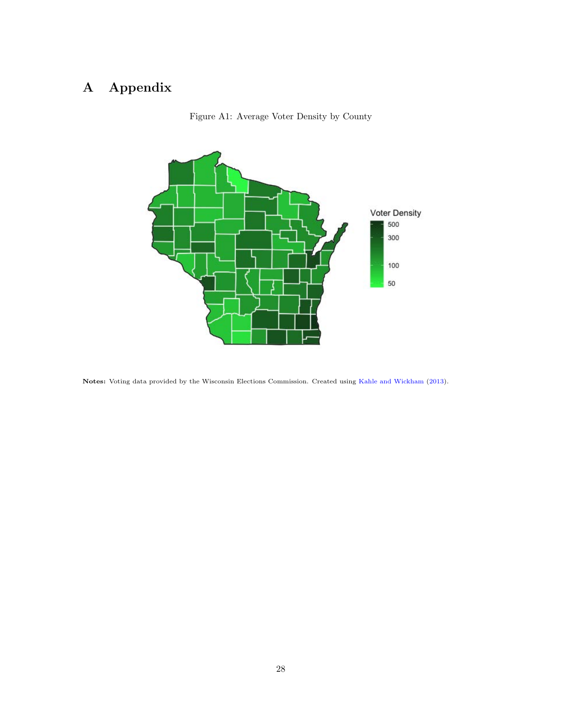# A Appendix



Figure A1: Average Voter Density by County

Notes: Voting data provided by the Wisconsin Elections Commission. Created using [Kahle and Wickham](#page-19-9) [\(2013\)](#page-19-9).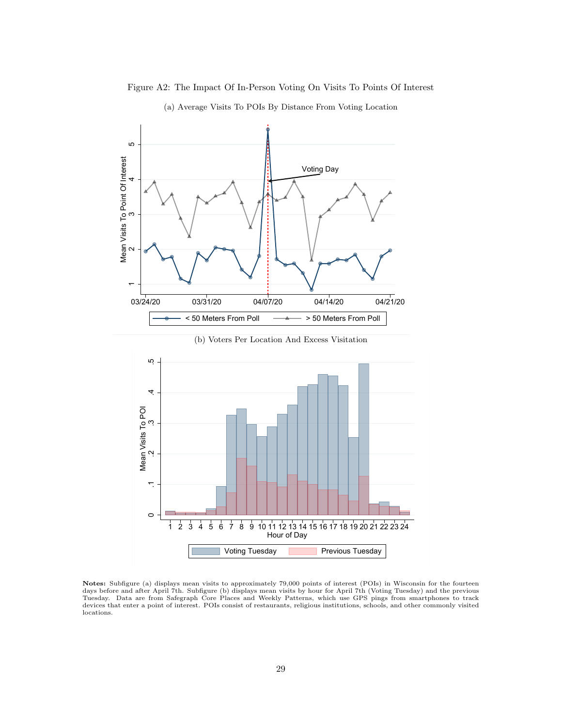<span id="page-29-0"></span>

Figure A2: The Impact Of In-Person Voting On Visits To Points Of Interest

(a) Average Visits To POIs By Distance From Voting Location

(b) Voters Per Location And Excess Visitation



Notes: Subfigure (a) displays mean visits to approximately 79,000 points of interest (POIs) in Wisconsin for the fourteen days before and after April 7th. Subfigure (b) displays mean visits by hour for April 7th (Voting Tuesday) and the previous Tuesday. Data are from Safegraph Core Places and Weekly Patterns, which use GPS pings from smartphones to track devices that enter a point of interest. POIs consist of restaurants, religious institutions, schools, and other commonly visited locations.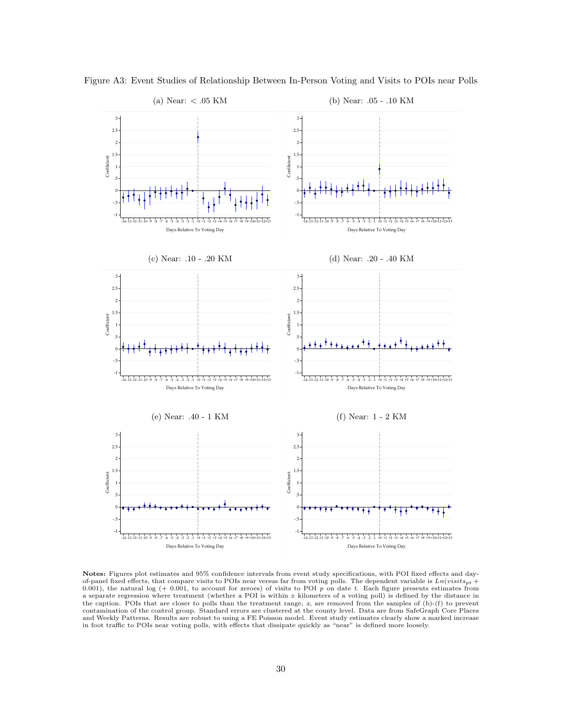

<span id="page-30-0"></span>Figure A3: Event Studies of Relationship Between In-Person Voting and Visits to POIs near Polls

#### (a) Near: < .05 KM

(b) Near: .05 - .10 KM

Notes: Figures plot estimates and 95% confidence intervals from event study specifications, with POI fixed effects and dayof-panel fixed effects, that compare visits to POIs near versus far from voting polls. The dependent variable is  $Ln(visits_{pt} +$ 0.001), the natural log (+ 0.001, to account for zeroes) of visits to POI  $p$  on date t. Each figure presents estimates from a separate regression where treatment (whether a POI is within  $x$  kilometers of a voting poll) is defined by the distance in the caption. POIs that are closer to polls than the treatment range, x, are removed from the samples of (b)-(f) to prevent contamination of the control group. Standard errors are clustered at the county level. Data are from SafeGraph Core Places and Weekly Patterns. Results are robust to using a FE Poisson model. Event study estimates clearly show a marked increase in foot traffic to POIs near voting polls, with effects that dissipate quickly as "near" is defined more loosely.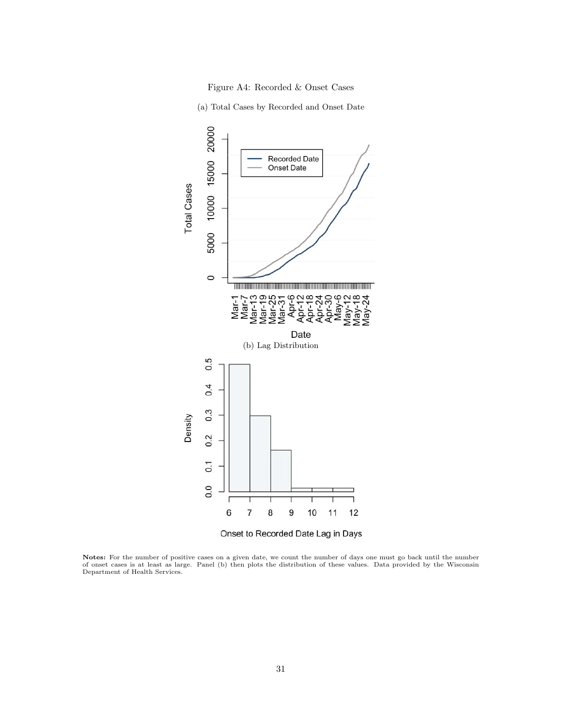

(a) Total Cases by Recorded and Onset Date

<span id="page-31-0"></span>

Onset to Recorded Date Lag in Days

Notes: For the number of positive cases on a given date, we count the number of days one must go back until the number of onset cases is at least as large. Panel (b) then plots the distribution of these values. Data provided by the Wisconsin Department of Health Services.